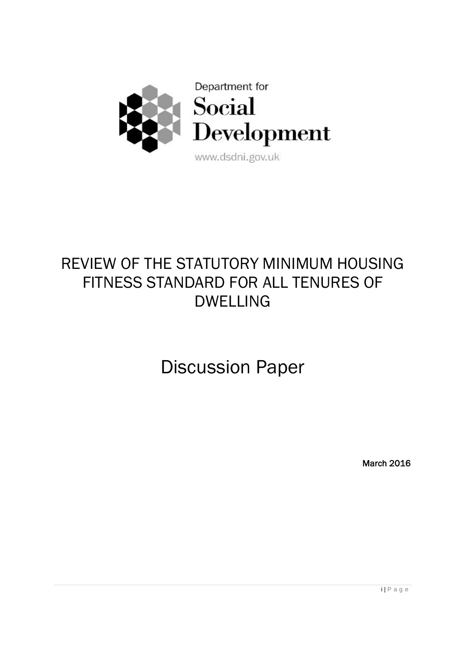

# REVIEW OF THE STATUTORY MINIMUM HOUSING FITNESS STANDARD FOR ALL TENURES OF DWELLING

Discussion Paper

March 2016

i | P a g e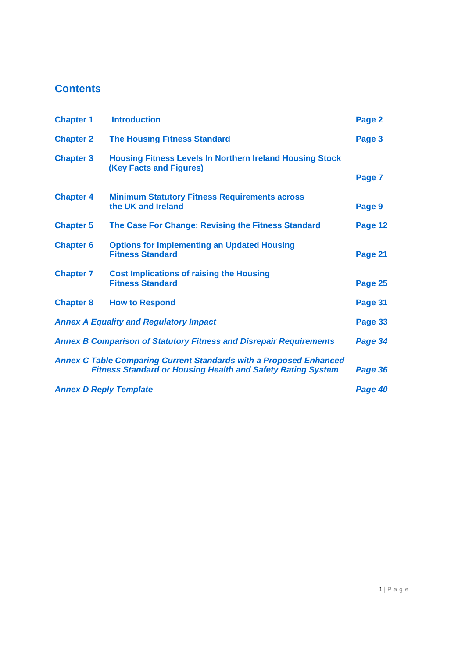## **Contents**

| <b>Chapter 1</b>                                                                                                                                           | <b>Introduction</b>                                                                               | Page 2  |  |  |
|------------------------------------------------------------------------------------------------------------------------------------------------------------|---------------------------------------------------------------------------------------------------|---------|--|--|
| <b>Chapter 2</b>                                                                                                                                           | <b>The Housing Fitness Standard</b>                                                               | Page 3  |  |  |
| <b>Chapter 3</b>                                                                                                                                           | <b>Housing Fitness Levels In Northern Ireland Housing Stock</b><br><b>(Key Facts and Figures)</b> |         |  |  |
|                                                                                                                                                            |                                                                                                   |         |  |  |
| <b>Chapter 4</b>                                                                                                                                           | <b>Minimum Statutory Fitness Requirements across</b><br>the UK and Ireland                        | Page 9  |  |  |
| <b>Chapter 5</b>                                                                                                                                           | The Case For Change: Revising the Fitness Standard                                                | Page 12 |  |  |
| <b>Chapter 6</b>                                                                                                                                           | <b>Options for Implementing an Updated Housing</b><br><b>Fitness Standard</b>                     | Page 21 |  |  |
| <b>Chapter 7</b>                                                                                                                                           | <b>Cost Implications of raising the Housing</b><br><b>Fitness Standard</b>                        | Page 25 |  |  |
| <b>Chapter 8</b>                                                                                                                                           | <b>How to Respond</b>                                                                             | Page 31 |  |  |
|                                                                                                                                                            | <b>Annex A Equality and Regulatory Impact</b>                                                     | Page 33 |  |  |
| <b>Annex B Comparison of Statutory Fitness and Disrepair Requirements</b><br>Page 34                                                                       |                                                                                                   |         |  |  |
| <b>Annex C Table Comparing Current Standards with a Proposed Enhanced</b><br><b>Fitness Standard or Housing Health and Safety Rating System</b><br>Page 36 |                                                                                                   |         |  |  |
| <b>Annex D Reply Template</b><br>Page 40                                                                                                                   |                                                                                                   |         |  |  |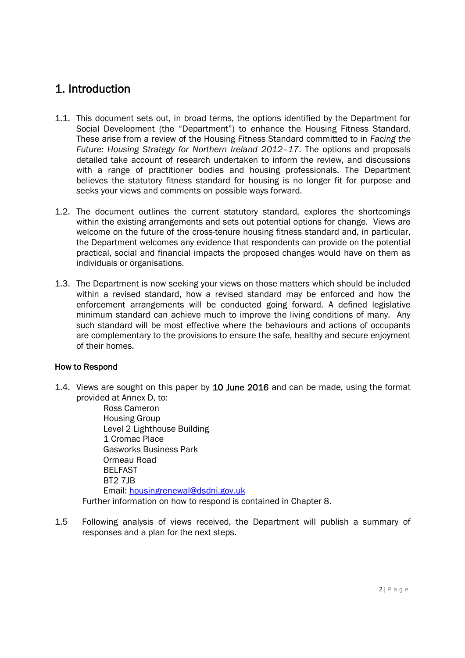## 1. Introduction

- 1.1. This document sets out, in broad terms, the options identified by the Department for Social Development (the "Department") to enhance the Housing Fitness Standard. These arise from a review of the Housing Fitness Standard committed to in *Facing the Future: Housing Strategy for Northern Ireland 2012–17*. The options and proposals detailed take account of research undertaken to inform the review, and discussions with a range of practitioner bodies and housing professionals. The Department believes the statutory fitness standard for housing is no longer fit for purpose and seeks your views and comments on possible ways forward.
- 1.2. The document outlines the current statutory standard, explores the shortcomings within the existing arrangements and sets out potential options for change. Views are welcome on the future of the cross-tenure housing fitness standard and, in particular, the Department welcomes any evidence that respondents can provide on the potential practical, social and financial impacts the proposed changes would have on them as individuals or organisations.
- 1.3. The Department is now seeking your views on those matters which should be included within a revised standard, how a revised standard may be enforced and how the enforcement arrangements will be conducted going forward. A defined legislative minimum standard can achieve much to improve the living conditions of many. Any such standard will be most effective where the behaviours and actions of occupants are complementary to the provisions to ensure the safe, healthy and secure enjoyment of their homes.

#### How to Respond

1.4. Views are sought on this paper by 10 June 2016 and can be made, using the format provided at Annex D, to:

Ross Cameron Housing Group Level 2 Lighthouse Building 1 Cromac Place Gasworks Business Park Ormeau Road BELFAST BT2 7JB Email: housingrenewal@dsdni.gov.uk Further information on how to respond is contained in Chapter 8.

1.5 Following analysis of views received, the Department will publish a summary of responses and a plan for the next steps.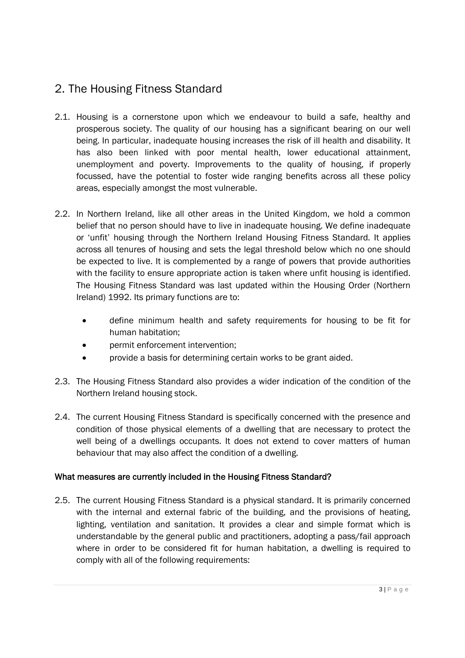## 2. The Housing Fitness Standard

- 2.1. Housing is a cornerstone upon which we endeavour to build a safe, healthy and prosperous society. The quality of our housing has a significant bearing on our well being. In particular, inadequate housing increases the risk of ill health and disability. It has also been linked with poor mental health, lower educational attainment, unemployment and poverty. Improvements to the quality of housing, if properly focussed, have the potential to foster wide ranging benefits across all these policy areas, especially amongst the most vulnerable.
- 2.2. In Northern Ireland, like all other areas in the United Kingdom, we hold a common belief that no person should have to live in inadequate housing. We define inadequate or 'unfit' housing through the Northern Ireland Housing Fitness Standard. It applies across all tenures of housing and sets the legal threshold below which no one should be expected to live. It is complemented by a range of powers that provide authorities with the facility to ensure appropriate action is taken where unfit housing is identified. The Housing Fitness Standard was last updated within the Housing Order (Northern Ireland) 1992. Its primary functions are to:
	- define minimum health and safety requirements for housing to be fit for human habitation;
	- permit enforcement intervention;
	- provide a basis for determining certain works to be grant aided.
- 2.3. The Housing Fitness Standard also provides a wider indication of the condition of the Northern Ireland housing stock.
- 2.4. The current Housing Fitness Standard is specifically concerned with the presence and condition of those physical elements of a dwelling that are necessary to protect the well being of a dwellings occupants. It does not extend to cover matters of human behaviour that may also affect the condition of a dwelling.

## What measures are currently included in the Housing Fitness Standard?

2.5. The current Housing Fitness Standard is a physical standard. It is primarily concerned with the internal and external fabric of the building, and the provisions of heating, lighting, ventilation and sanitation. It provides a clear and simple format which is understandable by the general public and practitioners, adopting a pass/fail approach where in order to be considered fit for human habitation, a dwelling is required to comply with all of the following requirements: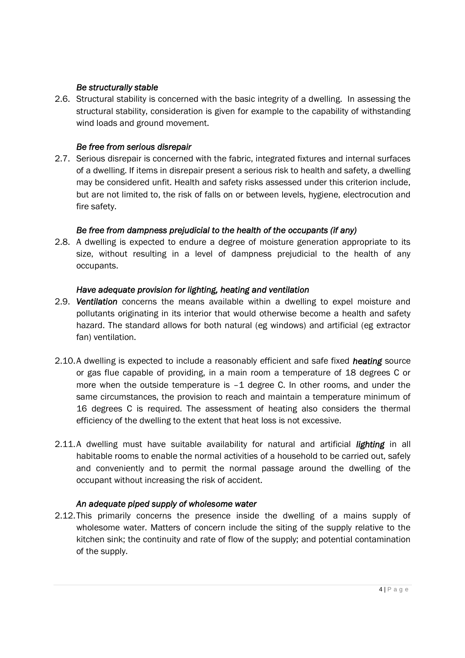#### *Be structurally stable*

2.6. Structural stability is concerned with the basic integrity of a dwelling. In assessing the structural stability, consideration is given for example to the capability of withstanding wind loads and ground movement.

#### *Be free from serious disrepair*

2.7. Serious disrepair is concerned with the fabric, integrated fixtures and internal surfaces of a dwelling. If items in disrepair present a serious risk to health and safety, a dwelling may be considered unfit. Health and safety risks assessed under this criterion include, but are not limited to, the risk of falls on or between levels, hygiene, electrocution and fire safety.

#### *Be free from dampness prejudicial to the health of the occupants (if any)*

2.8. A dwelling is expected to endure a degree of moisture generation appropriate to its size, without resulting in a level of dampness prejudicial to the health of any occupants.

#### *Have adequate provision for lighting, heating and ventilation*

- 2.9. *Ventilation* concerns the means available within a dwelling to expel moisture and pollutants originating in its interior that would otherwise become a health and safety hazard. The standard allows for both natural (eg windows) and artificial (eg extractor fan) ventilation.
- 2.10.A dwelling is expected to include a reasonably efficient and safe fixed *heating* source or gas flue capable of providing, in a main room a temperature of 18 degrees C or more when the outside temperature is  $-1$  degree C. In other rooms, and under the same circumstances, the provision to reach and maintain a temperature minimum of 16 degrees C is required. The assessment of heating also considers the thermal efficiency of the dwelling to the extent that heat loss is not excessive.
- 2.11.A dwelling must have suitable availability for natural and artificial *lighting* in all habitable rooms to enable the normal activities of a household to be carried out, safely and conveniently and to permit the normal passage around the dwelling of the occupant without increasing the risk of accident.

#### *An adequate piped supply of wholesome water*

2.12.This primarily concerns the presence inside the dwelling of a mains supply of wholesome water. Matters of concern include the siting of the supply relative to the kitchen sink; the continuity and rate of flow of the supply; and potential contamination of the supply.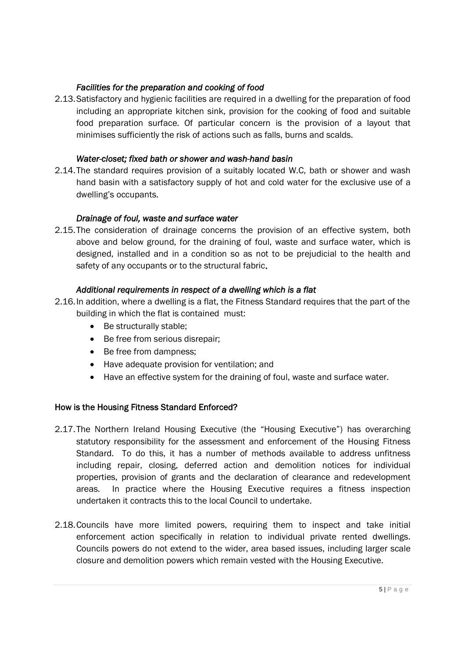### *Facilities for the preparation and cooking of food*

2.13.Satisfactory and hygienic facilities are required in a dwelling for the preparation of food including an appropriate kitchen sink, provision for the cooking of food and suitable food preparation surface. Of particular concern is the provision of a layout that minimises sufficiently the risk of actions such as falls, burns and scalds.

### *Water-closet; fixed bath or shower and wash-hand basin*

2.14.The standard requires provision of a suitably located W.C, bath or shower and wash hand basin with a satisfactory supply of hot and cold water for the exclusive use of a dwelling's occupants.

### *Drainage of foul, waste and surface water*

2.15.The consideration of drainage concerns the provision of an effective system, both above and below ground, for the draining of foul, waste and surface water, which is designed, installed and in a condition so as not to be prejudicial to the health and safety of any occupants or to the structural fabric.

### *Additional requirements in respect of a dwelling which is a flat*

- 2.16.In addition, where a dwelling is a flat, the Fitness Standard requires that the part of the building in which the flat is contained must:
	- Be structurally stable;
	- Be free from serious disrepair:
	- Be free from dampness;
	- Have adequate provision for ventilation; and
	- Have an effective system for the draining of foul, waste and surface water.

## How is the Housing Fitness Standard Enforced?

- 2.17.The Northern Ireland Housing Executive (the "Housing Executive") has overarching statutory responsibility for the assessment and enforcement of the Housing Fitness Standard. To do this, it has a number of methods available to address unfitness including repair, closing, deferred action and demolition notices for individual properties, provision of grants and the declaration of clearance and redevelopment areas. In practice where the Housing Executive requires a fitness inspection undertaken it contracts this to the local Council to undertake.
- 2.18.Councils have more limited powers, requiring them to inspect and take initial enforcement action specifically in relation to individual private rented dwellings. Councils powers do not extend to the wider, area based issues, including larger scale closure and demolition powers which remain vested with the Housing Executive.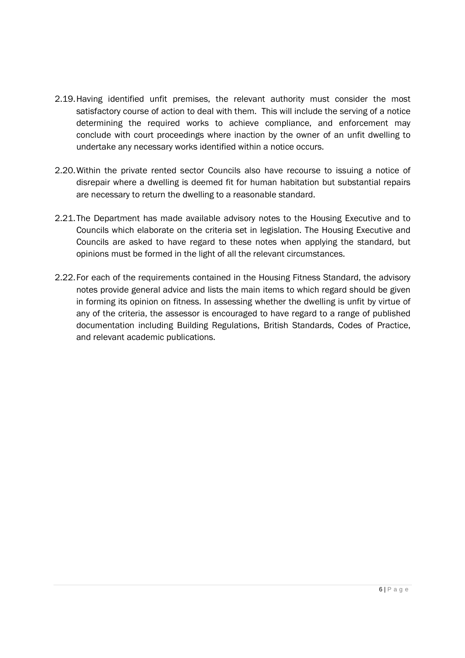- 2.19.Having identified unfit premises, the relevant authority must consider the most satisfactory course of action to deal with them. This will include the serving of a notice determining the required works to achieve compliance, and enforcement may conclude with court proceedings where inaction by the owner of an unfit dwelling to undertake any necessary works identified within a notice occurs.
- 2.20.Within the private rented sector Councils also have recourse to issuing a notice of disrepair where a dwelling is deemed fit for human habitation but substantial repairs are necessary to return the dwelling to a reasonable standard.
- 2.21.The Department has made available advisory notes to the Housing Executive and to Councils which elaborate on the criteria set in legislation. The Housing Executive and Councils are asked to have regard to these notes when applying the standard, but opinions must be formed in the light of all the relevant circumstances.
- 2.22.For each of the requirements contained in the Housing Fitness Standard, the advisory notes provide general advice and lists the main items to which regard should be given in forming its opinion on fitness. In assessing whether the dwelling is unfit by virtue of any of the criteria, the assessor is encouraged to have regard to a range of published documentation including Building Regulations, British Standards, Codes of Practice, and relevant academic publications.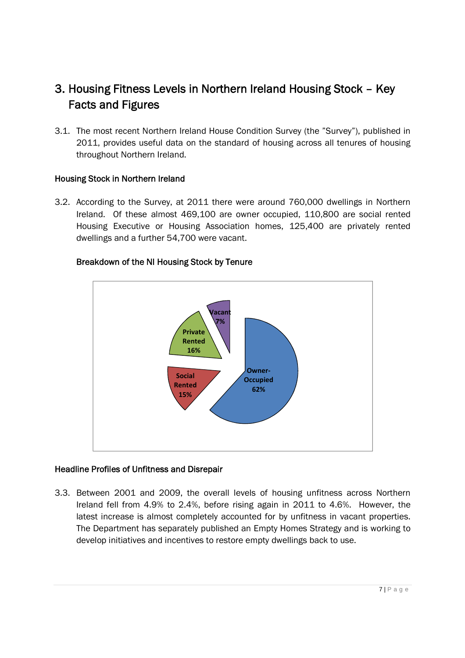## 3. Housing Fitness Levels in Northern Ireland Housing Stock – Key Facts and Figures

3.1. The most recent Northern Ireland House Condition Survey (the "Survey"), published in 2011, provides useful data on the standard of housing across all tenures of housing throughout Northern Ireland.

#### Housing Stock in Northern Ireland

3.2. According to the Survey, at 2011 there were around 760,000 dwellings in Northern Ireland. Of these almost 469,100 are owner occupied, 110,800 are social rented Housing Executive or Housing Association homes, 125,400 are privately rented dwellings and a further 54,700 were vacant.



#### Breakdown of the NI Housing Stock by Tenure

#### Headline Profiles of Unfitness and Disrepair

3.3. Between 2001 and 2009, the overall levels of housing unfitness across Northern Ireland fell from 4.9% to 2.4%, before rising again in 2011 to 4.6%. However, the latest increase is almost completely accounted for by unfitness in vacant properties. The Department has separately published an Empty Homes Strategy and is working to develop initiatives and incentives to restore empty dwellings back to use.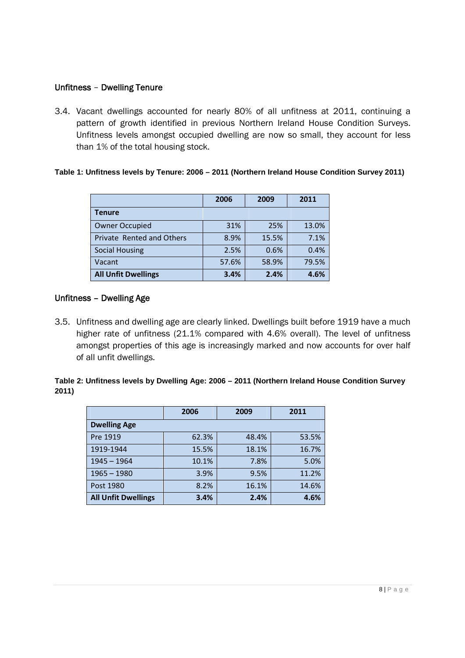#### Unfitness – Dwelling Tenure

3.4. Vacant dwellings accounted for nearly 80% of all unfitness at 2011, continuing a pattern of growth identified in previous Northern Ireland House Condition Surveys. Unfitness levels amongst occupied dwelling are now so small, they account for less than 1% of the total housing stock.

#### **Table 1: Unfitness levels by Tenure: 2006 – 2011 (Northern Ireland House Condition Survey 2011)**

|                            | 2006  | 2009  | 2011  |
|----------------------------|-------|-------|-------|
| Tenure                     |       |       |       |
| <b>Owner Occupied</b>      | 31%   | 25%   | 13.0% |
| Private Rented and Others  | 8.9%  | 15.5% | 7.1%  |
| <b>Social Housing</b>      | 2.5%  | 0.6%  | 0.4%  |
| Vacant                     | 57.6% | 58.9% | 79.5% |
| <b>All Unfit Dwellings</b> | 3.4%  | 2.4%  | 4.6%  |

#### Unfitness – Dwelling Age

3.5. Unfitness and dwelling age are clearly linked. Dwellings built before 1919 have a much higher rate of unfitness (21.1% compared with 4.6% overall). The level of unfitness amongst properties of this age is increasingly marked and now accounts for over half of all unfit dwellings.

#### **Table 2: Unfitness levels by Dwelling Age: 2006 – 2011 (Northern Ireland House Condition Survey 2011)**

|                            | 2006  | 2009  | 2011  |  |  |  |
|----------------------------|-------|-------|-------|--|--|--|
| <b>Dwelling Age</b>        |       |       |       |  |  |  |
| Pre 1919                   | 62.3% | 48.4% | 53.5% |  |  |  |
| 1919-1944                  | 15.5% | 18.1% | 16.7% |  |  |  |
| $1945 - 1964$              | 10.1% | 7.8%  | 5.0%  |  |  |  |
| $1965 - 1980$              | 3.9%  | 9.5%  | 11.2% |  |  |  |
| Post 1980                  | 8.2%  | 16.1% | 14.6% |  |  |  |
| <b>All Unfit Dwellings</b> | 3.4%  | 2.4%  | 4.6%  |  |  |  |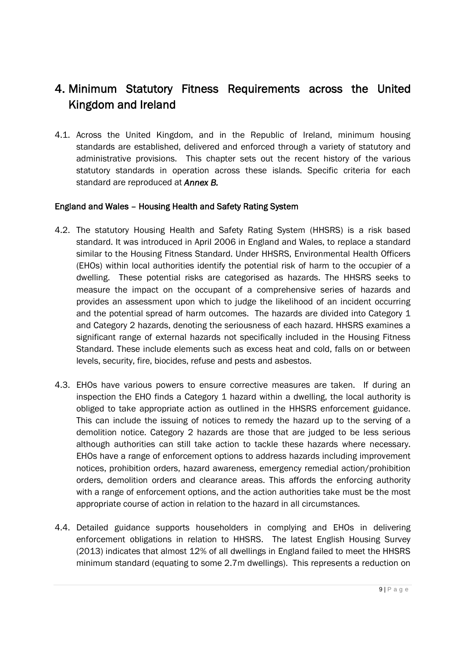## 4. Minimum Statutory Fitness Requirements across the United Kingdom and Ireland

4.1. Across the United Kingdom, and in the Republic of Ireland, minimum housing standards are established, delivered and enforced through a variety of statutory and administrative provisions. This chapter sets out the recent history of the various statutory standards in operation across these islands. Specific criteria for each standard are reproduced at *Annex B.*

### England and Wales – Housing Health and Safety Rating System

- 4.2. The statutory Housing Health and Safety Rating System (HHSRS) is a risk based standard. It was introduced in April 2006 in England and Wales, to replace a standard similar to the Housing Fitness Standard. Under HHSRS, Environmental Health Officers (EHOs) within local authorities identify the potential risk of harm to the occupier of a dwelling. These potential risks are categorised as hazards. The HHSRS seeks to measure the impact on the occupant of a comprehensive series of hazards and provides an assessment upon which to judge the likelihood of an incident occurring and the potential spread of harm outcomes. The hazards are divided into Category 1 and Category 2 hazards, denoting the seriousness of each hazard. HHSRS examines a significant range of external hazards not specifically included in the Housing Fitness Standard. These include elements such as excess heat and cold, falls on or between levels, security, fire, biocides, refuse and pests and asbestos.
- 4.3. EHOs have various powers to ensure corrective measures are taken. If during an inspection the EHO finds a Category 1 hazard within a dwelling, the local authority is obliged to take appropriate action as outlined in the HHSRS enforcement guidance. This can include the issuing of notices to remedy the hazard up to the serving of a demolition notice. Category 2 hazards are those that are judged to be less serious although authorities can still take action to tackle these hazards where necessary. EHOs have a range of enforcement options to address hazards including improvement notices, prohibition orders, hazard awareness, emergency remedial action/prohibition orders, demolition orders and clearance areas. This affords the enforcing authority with a range of enforcement options, and the action authorities take must be the most appropriate course of action in relation to the hazard in all circumstances.
- 4.4. Detailed guidance supports householders in complying and EHOs in delivering enforcement obligations in relation to HHSRS. The latest English Housing Survey (2013) indicates that almost 12% of all dwellings in England failed to meet the HHSRS minimum standard (equating to some 2.7m dwellings). This represents a reduction on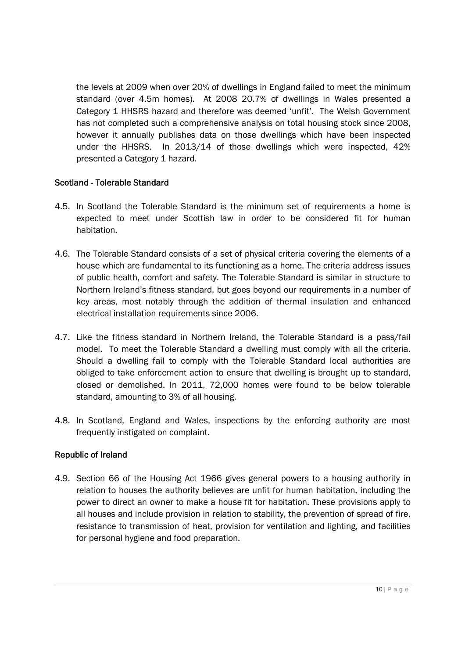the levels at 2009 when over 20% of dwellings in England failed to meet the minimum standard (over 4.5m homes). At 2008 20.7% of dwellings in Wales presented a Category 1 HHSRS hazard and therefore was deemed 'unfit'. The Welsh Government has not completed such a comprehensive analysis on total housing stock since 2008, however it annually publishes data on those dwellings which have been inspected under the HHSRS. In 2013/14 of those dwellings which were inspected, 42% presented a Category 1 hazard.

#### Scotland - Tolerable Standard

- 4.5. In Scotland the Tolerable Standard is the minimum set of requirements a home is expected to meet under Scottish law in order to be considered fit for human habitation.
- 4.6. The Tolerable Standard consists of a set of physical criteria covering the elements of a house which are fundamental to its functioning as a home. The criteria address issues of public health, comfort and safety. The Tolerable Standard is similar in structure to Northern Ireland's fitness standard, but goes beyond our requirements in a number of key areas, most notably through the addition of thermal insulation and enhanced electrical installation requirements since 2006.
- 4.7. Like the fitness standard in Northern Ireland, the Tolerable Standard is a pass/fail model. To meet the Tolerable Standard a dwelling must comply with all the criteria. Should a dwelling fail to comply with the Tolerable Standard local authorities are obliged to take enforcement action to ensure that dwelling is brought up to standard, closed or demolished. In 2011, 72,000 homes were found to be below tolerable standard, amounting to 3% of all housing.
- 4.8. In Scotland, England and Wales, inspections by the enforcing authority are most frequently instigated on complaint.

## Republic of Ireland

4.9. Section 66 of the Housing Act 1966 gives general powers to a housing authority in relation to houses the authority believes are unfit for human habitation, including the power to direct an owner to make a house fit for habitation. These provisions apply to all houses and include provision in relation to stability, the prevention of spread of fire, resistance to transmission of heat, provision for ventilation and lighting, and facilities for personal hygiene and food preparation.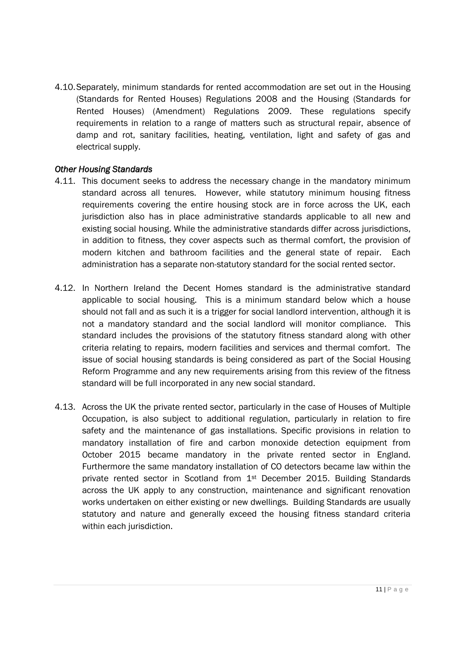4.10.Separately, minimum standards for rented accommodation are set out in the Housing (Standards for Rented Houses) Regulations 2008 and the Housing (Standards for Rented Houses) (Amendment) Regulations 2009. These regulations specify requirements in relation to a range of matters such as structural repair, absence of damp and rot, sanitary facilities, heating, ventilation, light and safety of gas and electrical supply.

#### *Other Housing Standards*

- 4.11. This document seeks to address the necessary change in the mandatory minimum standard across all tenures. However, while statutory minimum housing fitness requirements covering the entire housing stock are in force across the UK, each jurisdiction also has in place administrative standards applicable to all new and existing social housing. While the administrative standards differ across jurisdictions, in addition to fitness, they cover aspects such as thermal comfort, the provision of modern kitchen and bathroom facilities and the general state of repair. Each administration has a separate non-statutory standard for the social rented sector.
- 4.12. In Northern Ireland the Decent Homes standard is the administrative standard applicable to social housing. This is a minimum standard below which a house should not fall and as such it is a trigger for social landlord intervention, although it is not a mandatory standard and the social landlord will monitor compliance. This standard includes the provisions of the statutory fitness standard along with other criteria relating to repairs, modern facilities and services and thermal comfort. The issue of social housing standards is being considered as part of the Social Housing Reform Programme and any new requirements arising from this review of the fitness standard will be full incorporated in any new social standard.
- 4.13. Across the UK the private rented sector, particularly in the case of Houses of Multiple Occupation, is also subject to additional regulation, particularly in relation to fire safety and the maintenance of gas installations. Specific provisions in relation to mandatory installation of fire and carbon monoxide detection equipment from October 2015 became mandatory in the private rented sector in England. Furthermore the same mandatory installation of CO detectors became law within the private rented sector in Scotland from 1st December 2015. Building Standards across the UK apply to any construction, maintenance and significant renovation works undertaken on either existing or new dwellings. Building Standards are usually statutory and nature and generally exceed the housing fitness standard criteria within each jurisdiction.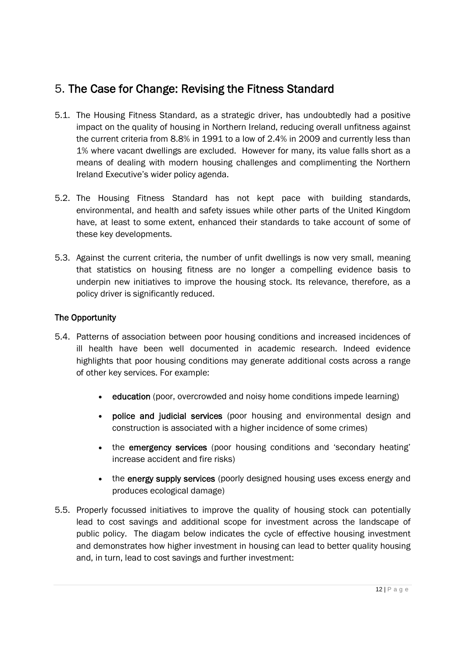## 5. The Case for Change: Revising the Fitness Standard

- 5.1. The Housing Fitness Standard, as a strategic driver, has undoubtedly had a positive impact on the quality of housing in Northern Ireland, reducing overall unfitness against the current criteria from 8.8% in 1991 to a low of 2.4% in 2009 and currently less than 1% where vacant dwellings are excluded. However for many, its value falls short as a means of dealing with modern housing challenges and complimenting the Northern Ireland Executive's wider policy agenda.
- 5.2. The Housing Fitness Standard has not kept pace with building standards, environmental, and health and safety issues while other parts of the United Kingdom have, at least to some extent, enhanced their standards to take account of some of these key developments.
- 5.3. Against the current criteria, the number of unfit dwellings is now very small, meaning that statistics on housing fitness are no longer a compelling evidence basis to underpin new initiatives to improve the housing stock. Its relevance, therefore, as a policy driver is significantly reduced.

## The Opportunity

- 5.4. Patterns of association between poor housing conditions and increased incidences of ill health have been well documented in academic research. Indeed evidence highlights that poor housing conditions may generate additional costs across a range of other key services. For example:
	- education (poor, overcrowded and noisy home conditions impede learning)
	- police and judicial services (poor housing and environmental design and construction is associated with a higher incidence of some crimes)
	- the emergency services (poor housing conditions and 'secondary heating' increase accident and fire risks)
	- the energy supply services (poorly designed housing uses excess energy and produces ecological damage)
- 5.5. Properly focussed initiatives to improve the quality of housing stock can potentially lead to cost savings and additional scope for investment across the landscape of public policy. The diagam below indicates the cycle of effective housing investment and demonstrates how higher investment in housing can lead to better quality housing and, in turn, lead to cost savings and further investment: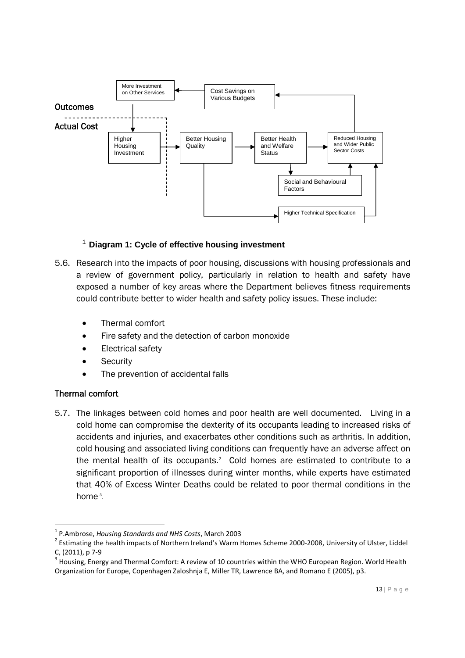

### 1 **Diagram 1: Cycle of effective housing investment**

- 5.6. Research into the impacts of poor housing, discussions with housing professionals and a review of government policy, particularly in relation to health and safety have exposed a number of key areas where the Department believes fitness requirements could contribute better to wider health and safety policy issues. These include:
	- Thermal comfort
	- Fire safety and the detection of carbon monoxide
	- Electrical safety
	- **Security**
	- The prevention of accidental falls

#### Thermal comfort

5.7. The linkages between cold homes and poor health are well documented. Living in a cold home can compromise the dexterity of its occupants leading to increased risks of accidents and injuries, and exacerbates other conditions such as arthritis. In addition, cold housing and associated living conditions can frequently have an adverse affect on the mental health of its occupants. $2$  Cold homes are estimated to contribute to a significant proportion of illnesses during winter months, while experts have estimated that 40% of Excess Winter Deaths could be related to poor thermal conditions in the home<sup>3</sup>.

<sup>1</sup> P.Ambrose, *Housing Standards and NHS Costs*, March 2003

<sup>&</sup>lt;sup>2</sup> Estimating the health impacts of Northern Ireland's Warm Homes Scheme 2000-2008, University of Ulster, Liddel C, (2011), p 7-9

 $3$  Housing, Energy and Thermal Comfort: A review of 10 countries within the WHO European Region. World Health Organization for Europe, Copenhagen Zaloshnja E, Miller TR, Lawrence BA, and Romano E (2005), p3.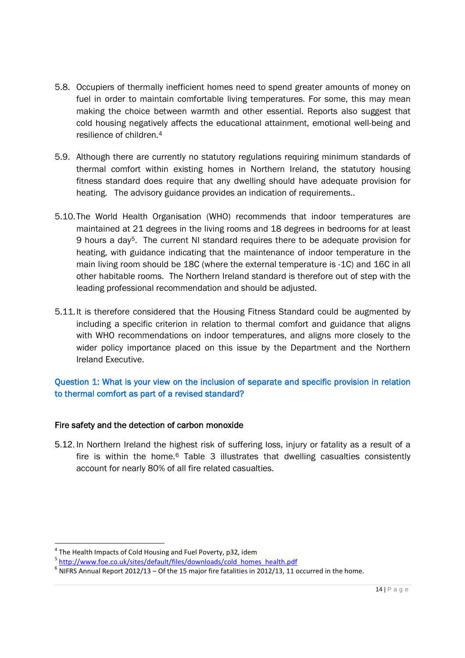- 5.8. Occupiers of thermally inefficient homes need to spend greater amounts of money on fuel in order to maintain comfortable living temperatures. For some, this may mean making the choice between warmth and other essential. Reports also suggest that cold housing negatively affects the educational attainment, emotional well-being and resilience of children 4
- 5.9. Although there are currently no statutory regulations requiring minimum standards of thermal comfort within existing homes in Northern Ireland, the statutory housing fitness standard does require that any dwelling should have adequate provision for heating. The advisory guidance provides an indication of requirements..
- 5.10.The World Health Organisation (WHO) recommends that indoor temperatures are maintained at 21 degrees in the living rooms and 18 degrees in bedrooms for at least 9 hours a day5. The current NI standard requires there to be adequate provision for heating, with guidance indicating that the maintenance of indoor temperature in the main living room should be 18C (where the external temperature is -1C) and 16C in all other habitable rooms. The Northern Ireland standard is therefore out of step with the leading professional recommendation and should be adjusted.
- 5.11.It is therefore considered that the Housing Fitness Standard could be augmented by including a specific criterion in relation to thermal comfort and guidance that aligns with WHO recommendations on indoor temperatures, and aligns more closely to the wider policy importance placed on this issue by the Department and the Northern Ireland Executive.

## Question 1: What is your view on the inclusion of separate and specific provision in relation to thermal comfort as part of a revised standard?

## Fire safety and the detection of carbon monoxide

5.12. In Northern Ireland the highest risk of suffering loss, injury or fatality as a result of a fire is within the home.<sup>6</sup> Table 3 illustrates that dwelling casualties consistently account for nearly 80% of all fire related casualties.

 $^4$  The Health Impacts of Cold Housing and Fuel Poverty, p32, idem

<sup>&</sup>lt;sup>5</sup> http://www.foe.co.uk/sites/default/files/downloads/cold\_homes\_health.pdf

 $^6$  NIFRS Annual Report 2012/13 – Of the 15 major fire fatalities in 2012/13, 11 occurred in the home.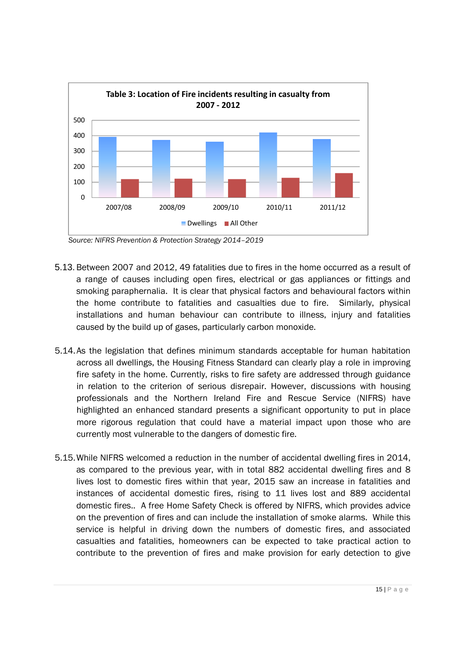

*Source: NIFRS Prevention & Protection Strategy 2014–2019*

- 5.13.Between 2007 and 2012, 49 fatalities due to fires in the home occurred as a result of a range of causes including open fires, electrical or gas appliances or fittings and smoking paraphernalia. It is clear that physical factors and behavioural factors within the home contribute to fatalities and casualties due to fire. Similarly, physical installations and human behaviour can contribute to illness, injury and fatalities caused by the build up of gases, particularly carbon monoxide.
- 5.14.As the legislation that defines minimum standards acceptable for human habitation across all dwellings, the Housing Fitness Standard can clearly play a role in improving fire safety in the home. Currently, risks to fire safety are addressed through guidance in relation to the criterion of serious disrepair. However, discussions with housing professionals and the Northern Ireland Fire and Rescue Service (NIFRS) have highlighted an enhanced standard presents a significant opportunity to put in place more rigorous regulation that could have a material impact upon those who are currently most vulnerable to the dangers of domestic fire.
- 5.15.While NIFRS welcomed a reduction in the number of accidental dwelling fires in 2014, as compared to the previous year, with in total 882 accidental dwelling fires and 8 lives lost to domestic fires within that year, 2015 saw an increase in fatalities and instances of accidental domestic fires, rising to 11 lives lost and 889 accidental domestic fires.. A free Home Safety Check is offered by NIFRS, which provides advice on the prevention of fires and can include the installation of smoke alarms. While this service is helpful in driving down the numbers of domestic fires, and associated casualties and fatalities, homeowners can be expected to take practical action to contribute to the prevention of fires and make provision for early detection to give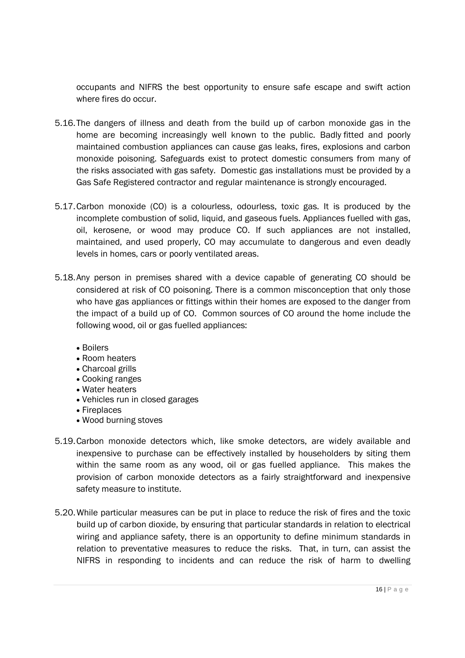occupants and NIFRS the best opportunity to ensure safe escape and swift action where fires do occur.

- 5.16.The dangers of illness and death from the build up of carbon monoxide gas in the home are becoming increasingly well known to the public. Badly fitted and poorly maintained combustion appliances can cause gas leaks, fires, explosions and carbon monoxide poisoning. Safeguards exist to protect domestic consumers from many of the risks associated with gas safety. Domestic gas installations must be provided by a Gas Safe Registered contractor and regular maintenance is strongly encouraged.
- 5.17.Carbon monoxide (CO) is a colourless, odourless, toxic gas. It is produced by the incomplete combustion of solid, liquid, and gaseous fuels. Appliances fuelled with gas, oil, kerosene, or wood may produce CO. If such appliances are not installed, maintained, and used properly, CO may accumulate to dangerous and even deadly levels in homes, cars or poorly ventilated areas.
- 5.18.Any person in premises shared with a device capable of generating CO should be considered at risk of CO poisoning. There is a common misconception that only those who have gas appliances or fittings within their homes are exposed to the danger from the impact of a build up of CO. Common sources of CO around the home include the following wood, oil or gas fuelled appliances:
	- Boilers
	- Room heaters
	- Charcoal grills
	- Cooking ranges
	- Water heaters
	- Vehicles run in closed garages
	- Fireplaces
	- Wood burning stoves
- 5.19.Carbon monoxide detectors which, like smoke detectors, are widely available and inexpensive to purchase can be effectively installed by householders by siting them within the same room as any wood, oil or gas fuelled appliance. This makes the provision of carbon monoxide detectors as a fairly straightforward and inexpensive safety measure to institute.
- 5.20.While particular measures can be put in place to reduce the risk of fires and the toxic build up of carbon dioxide, by ensuring that particular standards in relation to electrical wiring and appliance safety, there is an opportunity to define minimum standards in relation to preventative measures to reduce the risks. That, in turn, can assist the NIFRS in responding to incidents and can reduce the risk of harm to dwelling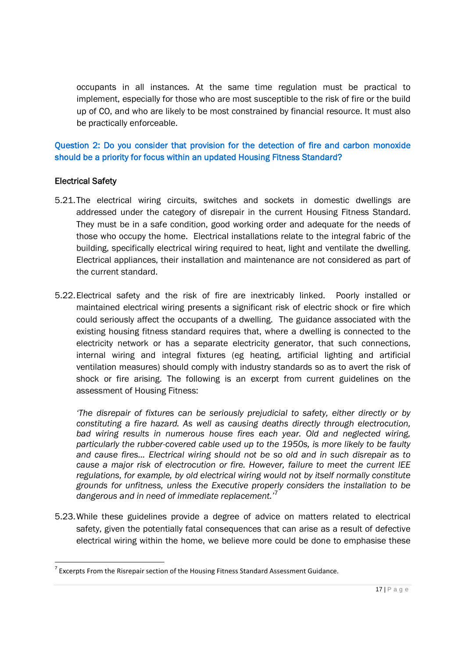occupants in all instances. At the same time regulation must be practical to implement, especially for those who are most susceptible to the risk of fire or the build up of CO, and who are likely to be most constrained by financial resource. It must also be practically enforceable.

Question 2: Do you consider that provision for the detection of fire and carbon monoxide should be a priority for focus within an updated Housing Fitness Standard?

#### Electrical Safety

- 5.21.The electrical wiring circuits, switches and sockets in domestic dwellings are addressed under the category of disrepair in the current Housing Fitness Standard. They must be in a safe condition, good working order and adequate for the needs of those who occupy the home. Electrical installations relate to the integral fabric of the building, specifically electrical wiring required to heat, light and ventilate the dwelling. Electrical appliances, their installation and maintenance are not considered as part of the current standard.
- 5.22.Electrical safety and the risk of fire are inextricably linked. Poorly installed or maintained electrical wiring presents a significant risk of electric shock or fire which could seriously affect the occupants of a dwelling. The guidance associated with the existing housing fitness standard requires that, where a dwelling is connected to the electricity network or has a separate electricity generator, that such connections, internal wiring and integral fixtures (eg heating, artificial lighting and artificial ventilation measures) should comply with industry standards so as to avert the risk of shock or fire arising. The following is an excerpt from current guidelines on the assessment of Housing Fitness:

*'The disrepair of fixtures can be seriously prejudicial to safety, either directly or by constituting a fire hazard. As well as causing deaths directly through electrocution, bad wiring results in numerous house fires each year. Old and neglected wiring, particularly the rubber-covered cable used up to the 1950s, is more likely to be faulty and cause fires… Electrical wiring should not be so old and in such disrepair as to cause a major risk of electrocution or fire. However, failure to meet the current IEE regulations, for example, by old electrical wiring would not by itself normally constitute grounds for unfitness, unless the Executive properly considers the installation to be dangerous and in need of immediate replacement.'*<sup>7</sup>

5.23.While these guidelines provide a degree of advice on matters related to electrical safety, given the potentially fatal consequences that can arise as a result of defective electrical wiring within the home, we believe more could be done to emphasise these

 $7$  Excerpts From the Risrepair section of the Housing Fitness Standard Assessment Guidance.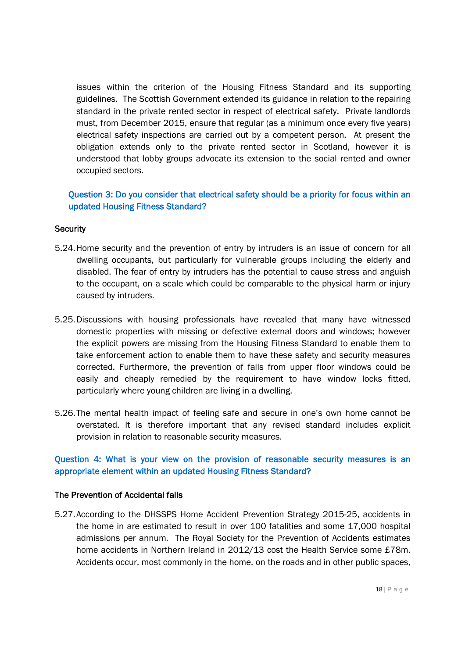issues within the criterion of the Housing Fitness Standard and its supporting guidelines. The Scottish Government extended its guidance in relation to the repairing standard in the private rented sector in respect of electrical safety. Private landlords must, from December 2015, ensure that regular (as a minimum once every five years) electrical safety inspections are carried out by a competent person. At present the obligation extends only to the private rented sector in Scotland, however it is understood that lobby groups advocate its extension to the social rented and owner occupied sectors.

## Question 3: Do you consider that electrical safety should be a priority for focus within an updated Housing Fitness Standard?

#### **Security**

- 5.24.Home security and the prevention of entry by intruders is an issue of concern for all dwelling occupants, but particularly for vulnerable groups including the elderly and disabled. The fear of entry by intruders has the potential to cause stress and anguish to the occupant, on a scale which could be comparable to the physical harm or injury caused by intruders.
- 5.25.Discussions with housing professionals have revealed that many have witnessed domestic properties with missing or defective external doors and windows; however the explicit powers are missing from the Housing Fitness Standard to enable them to take enforcement action to enable them to have these safety and security measures corrected. Furthermore, the prevention of falls from upper floor windows could be easily and cheaply remedied by the requirement to have window locks fitted, particularly where young children are living in a dwelling.
- 5.26.The mental health impact of feeling safe and secure in one's own home cannot be overstated. It is therefore important that any revised standard includes explicit provision in relation to reasonable security measures.

### Question 4: What is your view on the provision of reasonable security measures is an appropriate element within an updated Housing Fitness Standard?

#### The Prevention of Accidental falls

5.27.According to the DHSSPS Home Accident Prevention Strategy 2015-25, accidents in the home in are estimated to result in over 100 fatalities and some 17,000 hospital admissions per annum. The Royal Society for the Prevention of Accidents estimates home accidents in Northern Ireland in 2012/13 cost the Health Service some £78m. Accidents occur, most commonly in the home, on the roads and in other public spaces,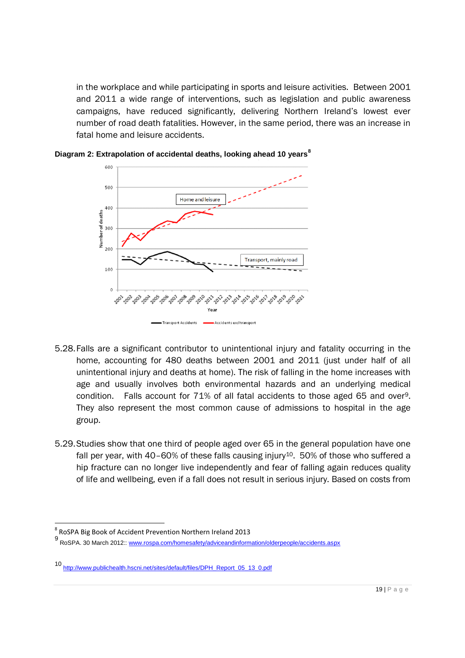in the workplace and while participating in sports and leisure activities. Between 2001 and 2011 a wide range of interventions, such as legislation and public awareness campaigns, have reduced significantly, delivering Northern Ireland's lowest ever number of road death fatalities. However, in the same period, there was an increase in fatal home and leisure accidents.



**Diagram 2: Extrapolation of accidental deaths, looking ahead 10 years<sup>8</sup>**

- 5.28.Falls are a significant contributor to unintentional injury and fatality occurring in the home, accounting for 480 deaths between 2001 and 2011 (just under half of all unintentional injury and deaths at home). The risk of falling in the home increases with age and usually involves both environmental hazards and an underlying medical condition. Falls account for 71% of all fatal accidents to those aged 65 and over9. They also represent the most common cause of admissions to hospital in the age group.
- 5.29.Studies show that one third of people aged over 65 in the general population have one fall per year, with 40–60% of these falls causing injury<sup>10</sup>. 50% of those who suffered a hip fracture can no longer live independently and fear of falling again reduces quality of life and wellbeing, even if a fall does not result in serious injury. Based on costs from

<sup>&</sup>lt;sup>8</sup> RoSPA Big Book of Accident Prevention Northern Ireland 2013

<sup>9&</sup>lt;br>RoSPA. 30 March 2012:: www.rospa.com/homesafety/adviceandinformation/olderpeople/accidents.aspx

<sup>10</sup> http://www.publichealth.hscni.net/sites/default/files/DPH\_Report\_05\_13\_0.pdf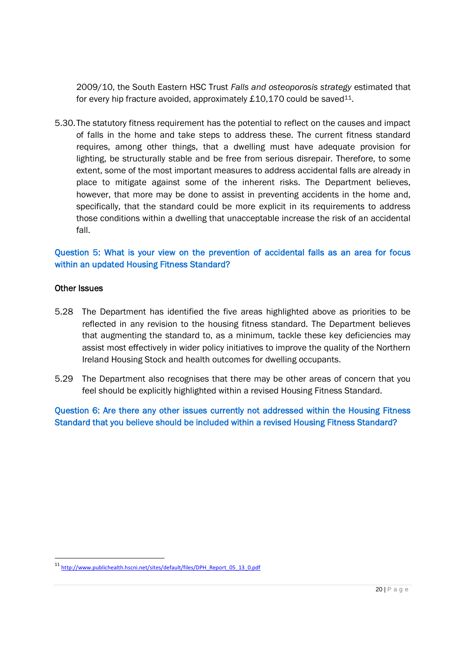2009/10, the South Eastern HSC Trust *Falls and osteoporosis strategy* estimated that for every hip fracture avoided, approximately  $£10,170$  could be saved<sup>11</sup>.

5.30.The statutory fitness requirement has the potential to reflect on the causes and impact of falls in the home and take steps to address these. The current fitness standard requires, among other things, that a dwelling must have adequate provision for lighting, be structurally stable and be free from serious disrepair. Therefore, to some extent, some of the most important measures to address accidental falls are already in place to mitigate against some of the inherent risks. The Department believes, however, that more may be done to assist in preventing accidents in the home and, specifically, that the standard could be more explicit in its requirements to address those conditions within a dwelling that unacceptable increase the risk of an accidental fall.

### Question 5: What is your view on the prevention of accidental falls as an area for focus within an updated Housing Fitness Standard?

#### Other Issues

- 5.28 The Department has identified the five areas highlighted above as priorities to be reflected in any revision to the housing fitness standard. The Department believes that augmenting the standard to, as a minimum, tackle these key deficiencies may assist most effectively in wider policy initiatives to improve the quality of the Northern Ireland Housing Stock and health outcomes for dwelling occupants.
- 5.29 The Department also recognises that there may be other areas of concern that you feel should be explicitly highlighted within a revised Housing Fitness Standard.

Question 6: Are there any other issues currently not addressed within the Housing Fitness Standard that you believe should be included within a revised Housing Fitness Standard?

<sup>11</sup> http://www.publichealth.hscni.net/sites/default/files/DPH\_Report\_05\_13\_0.pdf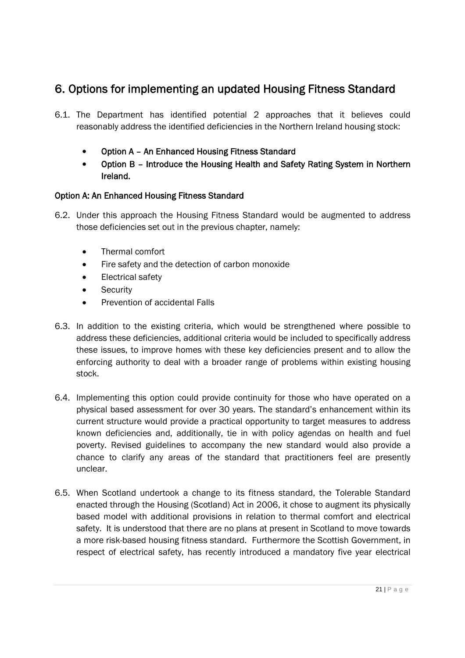## 6. Options for implementing an updated Housing Fitness Standard

- 6.1. The Department has identified potential 2 approaches that it believes could reasonably address the identified deficiencies in the Northern Ireland housing stock:
	- Option A An Enhanced Housing Fitness Standard
	- Option B Introduce the Housing Health and Safety Rating System in Northern Ireland.

## Option A: An Enhanced Housing Fitness Standard

- 6.2. Under this approach the Housing Fitness Standard would be augmented to address those deficiencies set out in the previous chapter, namely:
	- Thermal comfort
	- Fire safety and the detection of carbon monoxide
	- Electrical safety
	- Security
	- Prevention of accidental Falls
- 6.3. In addition to the existing criteria, which would be strengthened where possible to address these deficiencies, additional criteria would be included to specifically address these issues, to improve homes with these key deficiencies present and to allow the enforcing authority to deal with a broader range of problems within existing housing stock.
- 6.4. Implementing this option could provide continuity for those who have operated on a physical based assessment for over 30 years. The standard's enhancement within its current structure would provide a practical opportunity to target measures to address known deficiencies and, additionally, tie in with policy agendas on health and fuel poverty. Revised guidelines to accompany the new standard would also provide a chance to clarify any areas of the standard that practitioners feel are presently unclear.
- 6.5. When Scotland undertook a change to its fitness standard, the Tolerable Standard enacted through the Housing (Scotland) Act in 2006, it chose to augment its physically based model with additional provisions in relation to thermal comfort and electrical safety. It is understood that there are no plans at present in Scotland to move towards a more risk-based housing fitness standard. Furthermore the Scottish Government, in respect of electrical safety, has recently introduced a mandatory five year electrical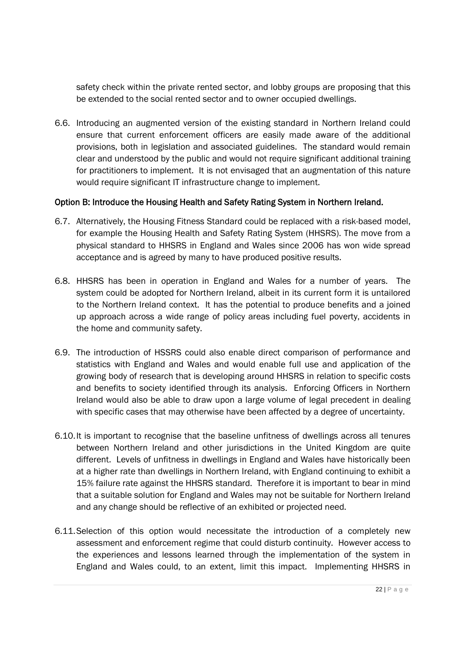safety check within the private rented sector, and lobby groups are proposing that this be extended to the social rented sector and to owner occupied dwellings.

6.6. Introducing an augmented version of the existing standard in Northern Ireland could ensure that current enforcement officers are easily made aware of the additional provisions, both in legislation and associated guidelines. The standard would remain clear and understood by the public and would not require significant additional training for practitioners to implement. It is not envisaged that an augmentation of this nature would require significant IT infrastructure change to implement.

### Option B: Introduce the Housing Health and Safety Rating System in Northern Ireland.

- 6.7. Alternatively, the Housing Fitness Standard could be replaced with a risk-based model, for example the Housing Health and Safety Rating System (HHSRS). The move from a physical standard to HHSRS in England and Wales since 2006 has won wide spread acceptance and is agreed by many to have produced positive results.
- 6.8. HHSRS has been in operation in England and Wales for a number of years. The system could be adopted for Northern Ireland, albeit in its current form it is untailored to the Northern Ireland context. It has the potential to produce benefits and a joined up approach across a wide range of policy areas including fuel poverty, accidents in the home and community safety.
- 6.9. The introduction of HSSRS could also enable direct comparison of performance and statistics with England and Wales and would enable full use and application of the growing body of research that is developing around HHSRS in relation to specific costs and benefits to society identified through its analysis. Enforcing Officers in Northern Ireland would also be able to draw upon a large volume of legal precedent in dealing with specific cases that may otherwise have been affected by a degree of uncertainty.
- 6.10.It is important to recognise that the baseline unfitness of dwellings across all tenures between Northern Ireland and other jurisdictions in the United Kingdom are quite different. Levels of unfitness in dwellings in England and Wales have historically been at a higher rate than dwellings in Northern Ireland, with England continuing to exhibit a 15% failure rate against the HHSRS standard. Therefore it is important to bear in mind that a suitable solution for England and Wales may not be suitable for Northern Ireland and any change should be reflective of an exhibited or projected need.
- 6.11.Selection of this option would necessitate the introduction of a completely new assessment and enforcement regime that could disturb continuity. However access to the experiences and lessons learned through the implementation of the system in England and Wales could, to an extent, limit this impact. Implementing HHSRS in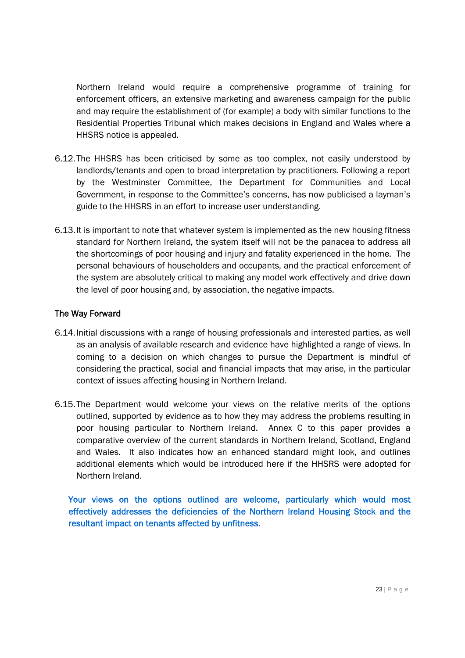Northern Ireland would require a comprehensive programme of training for enforcement officers, an extensive marketing and awareness campaign for the public and may require the establishment of (for example) a body with similar functions to the Residential Properties Tribunal which makes decisions in England and Wales where a HHSRS notice is appealed.

- 6.12.The HHSRS has been criticised by some as too complex, not easily understood by landlords/tenants and open to broad interpretation by practitioners. Following a report by the Westminster Committee, the Department for Communities and Local Government, in response to the Committee's concerns, has now publicised a layman's guide to the HHSRS in an effort to increase user understanding.
- 6.13.It is important to note that whatever system is implemented as the new housing fitness standard for Northern Ireland, the system itself will not be the panacea to address all the shortcomings of poor housing and injury and fatality experienced in the home. The personal behaviours of householders and occupants, and the practical enforcement of the system are absolutely critical to making any model work effectively and drive down the level of poor housing and, by association, the negative impacts.

#### The Way Forward

- 6.14.Initial discussions with a range of housing professionals and interested parties, as well as an analysis of available research and evidence have highlighted a range of views. In coming to a decision on which changes to pursue the Department is mindful of considering the practical, social and financial impacts that may arise, in the particular context of issues affecting housing in Northern Ireland.
- 6.15.The Department would welcome your views on the relative merits of the options outlined, supported by evidence as to how they may address the problems resulting in poor housing particular to Northern Ireland. Annex C to this paper provides a comparative overview of the current standards in Northern Ireland, Scotland, England and Wales. It also indicates how an enhanced standard might look, and outlines additional elements which would be introduced here if the HHSRS were adopted for Northern Ireland.

Your views on the options outlined are welcome, particularly which would most effectively addresses the deficiencies of the Northern Ireland Housing Stock and the resultant impact on tenants affected by unfitness.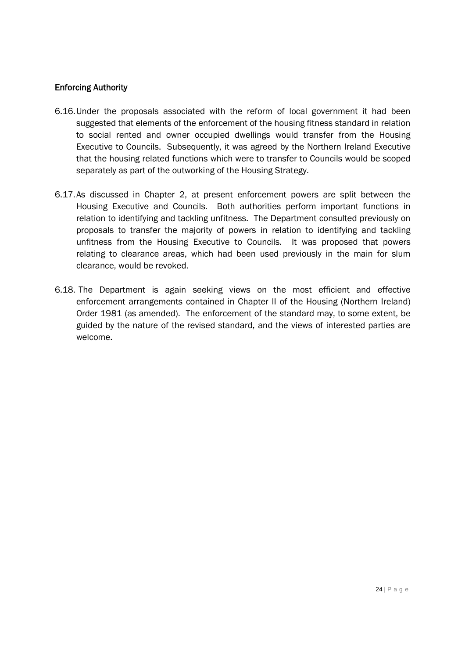### Enforcing Authority

- 6.16.Under the proposals associated with the reform of local government it had been suggested that elements of the enforcement of the housing fitness standard in relation to social rented and owner occupied dwellings would transfer from the Housing Executive to Councils. Subsequently, it was agreed by the Northern Ireland Executive that the housing related functions which were to transfer to Councils would be scoped separately as part of the outworking of the Housing Strategy.
- 6.17.As discussed in Chapter 2, at present enforcement powers are split between the Housing Executive and Councils. Both authorities perform important functions in relation to identifying and tackling unfitness. The Department consulted previously on proposals to transfer the majority of powers in relation to identifying and tackling unfitness from the Housing Executive to Councils. It was proposed that powers relating to clearance areas, which had been used previously in the main for slum clearance, would be revoked.
- 6.18. The Department is again seeking views on the most efficient and effective enforcement arrangements contained in Chapter II of the Housing (Northern Ireland) Order 1981 (as amended). The enforcement of the standard may, to some extent, be guided by the nature of the revised standard, and the views of interested parties are welcome.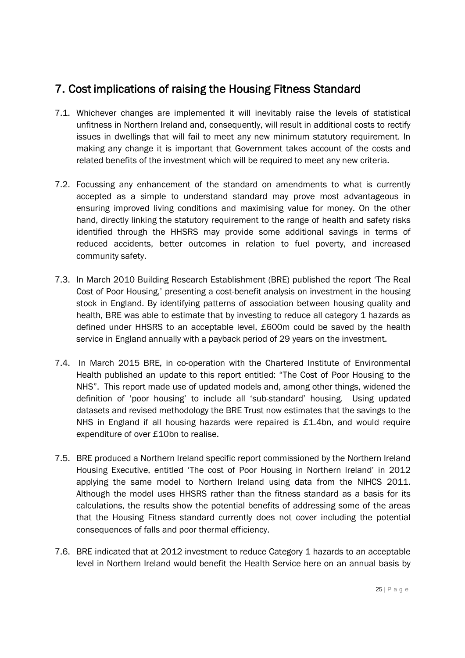## 7. Cost implications of raising the Housing Fitness Standard

- 7.1. Whichever changes are implemented it will inevitably raise the levels of statistical unfitness in Northern Ireland and, consequently, will result in additional costs to rectify issues in dwellings that will fail to meet any new minimum statutory requirement. In making any change it is important that Government takes account of the costs and related benefits of the investment which will be required to meet any new criteria.
- 7.2. Focussing any enhancement of the standard on amendments to what is currently accepted as a simple to understand standard may prove most advantageous in ensuring improved living conditions and maximising value for money. On the other hand, directly linking the statutory requirement to the range of health and safety risks identified through the HHSRS may provide some additional savings in terms of reduced accidents, better outcomes in relation to fuel poverty, and increased community safety.
- 7.3. In March 2010 Building Research Establishment (BRE) published the report 'The Real Cost of Poor Housing,' presenting a cost-benefit analysis on investment in the housing stock in England. By identifying patterns of association between housing quality and health, BRE was able to estimate that by investing to reduce all category 1 hazards as defined under HHSRS to an acceptable level, £600m could be saved by the health service in England annually with a payback period of 29 years on the investment.
- 7.4. In March 2015 BRE, in co-operation with the Chartered Institute of Environmental Health published an update to this report entitled: "The Cost of Poor Housing to the NHS". This report made use of updated models and, among other things, widened the definition of 'poor housing' to include all 'sub-standard' housing. Using updated datasets and revised methodology the BRE Trust now estimates that the savings to the NHS in England if all housing hazards were repaired is £1.4bn, and would require expenditure of over £10bn to realise.
- 7.5. BRE produced a Northern Ireland specific report commissioned by the Northern Ireland Housing Executive, entitled 'The cost of Poor Housing in Northern Ireland' in 2012 applying the same model to Northern Ireland using data from the NIHCS 2011. Although the model uses HHSRS rather than the fitness standard as a basis for its calculations, the results show the potential benefits of addressing some of the areas that the Housing Fitness standard currently does not cover including the potential consequences of falls and poor thermal efficiency.
- 7.6. BRE indicated that at 2012 investment to reduce Category 1 hazards to an acceptable level in Northern Ireland would benefit the Health Service here on an annual basis by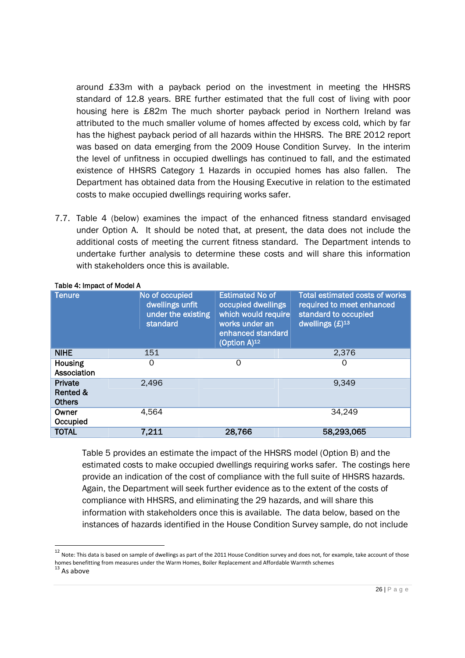around £33m with a payback period on the investment in meeting the HHSRS standard of 12.8 years. BRE further estimated that the full cost of living with poor housing here is £82m The much shorter payback period in Northern Ireland was attributed to the much smaller volume of homes affected by excess cold, which by far has the highest payback period of all hazards within the HHSRS. The BRE 2012 report was based on data emerging from the 2009 House Condition Survey. In the interim the level of unfitness in occupied dwellings has continued to fall, and the estimated existence of HHSRS Category 1 Hazards in occupied homes has also fallen. The Department has obtained data from the Housing Executive in relation to the estimated costs to make occupied dwellings requiring works safer.

7.7. Table 4 (below) examines the impact of the enhanced fitness standard envisaged under Option A. It should be noted that, at present, the data does not include the additional costs of meeting the current fitness standard. The Department intends to undertake further analysis to determine these costs and will share this information with stakeholders once this is available.

| <b>Tenure</b>                        | No of occupied<br>dwellings unfit<br>under the existing<br>standard | <b>Estimated No of</b><br>occupied dwellings<br>which would require<br>works under an<br>enhanced standard<br>(Option $A)$ <sup>12</sup> | <b>Total estimated costs of works</b><br>required to meet enhanced<br>standard to occupied<br>dwellings $(E)^{13}$ |
|--------------------------------------|---------------------------------------------------------------------|------------------------------------------------------------------------------------------------------------------------------------------|--------------------------------------------------------------------------------------------------------------------|
| <b>NIHE</b>                          | 151                                                                 |                                                                                                                                          | 2,376                                                                                                              |
| <b>Housing</b><br>Association        | O                                                                   | 0                                                                                                                                        | O                                                                                                                  |
| Private<br>Rented &<br><b>Others</b> | 2,496                                                               |                                                                                                                                          | 9.349                                                                                                              |
| Owner<br>Occupied                    | 4,564                                                               |                                                                                                                                          | 34,249                                                                                                             |
| <b>TOTAL</b>                         | 7,211                                                               | 28,766                                                                                                                                   | 58,293,065                                                                                                         |

#### Table 4: Impact of Model A

Table 5 provides an estimate the impact of the HHSRS model (Option B) and the estimated costs to make occupied dwellings requiring works safer. The costings here provide an indication of the cost of compliance with the full suite of HHSRS hazards. Again, the Department will seek further evidence as to the extent of the costs of compliance with HHSRS, and eliminating the 29 hazards, and will share this information with stakeholders once this is available. The data below, based on the instances of hazards identified in the House Condition Survey sample, do not include

<sup>&</sup>lt;sup>12</sup> Note: This data is based on sample of dwellings as part of the 2011 House Condition survey and does not, for example, take account of those homes benefitting from measures under the Warm Homes, Boiler Replacement and Affordable Warmth schemes

As above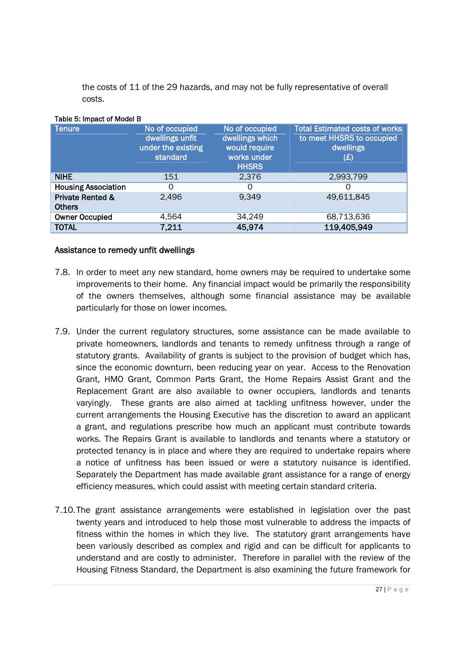the costs of 11 of the 29 hazards, and may not be fully representative of overall costs.

| <b>Tenure</b>                                | No of occupied<br>dwellings unfit<br>under the existing<br>standard | No of occupied<br>dwellings which<br>would require<br>works under<br><b>HHSRS</b> | <b>Total Estimated costs of works</b><br>to meet HHSRS to occupied<br>dwellings<br>(E) |
|----------------------------------------------|---------------------------------------------------------------------|-----------------------------------------------------------------------------------|----------------------------------------------------------------------------------------|
| <b>NIHE</b>                                  | 151                                                                 | 2,376                                                                             | 2,993,799                                                                              |
| <b>Housing Association</b>                   | 0                                                                   | 0                                                                                 | 0                                                                                      |
| <b>Private Rented &amp;</b><br><b>Others</b> | 2,496                                                               | 9.349                                                                             | 49,611,845                                                                             |
| <b>Owner Occupied</b>                        | 4,564                                                               | 34,249                                                                            | 68,713,636                                                                             |
| <b>TOTAL</b>                                 | 7,211                                                               | 45,974                                                                            | 119,405,949                                                                            |

#### Table 5: Impact of Model B

#### Assistance to remedy unfit dwellings

- 7.8. In order to meet any new standard, home owners may be required to undertake some improvements to their home. Any financial impact would be primarily the responsibility of the owners themselves, although some financial assistance may be available particularly for those on lower incomes.
- 7.9. Under the current regulatory structures, some assistance can be made available to private homeowners, landlords and tenants to remedy unfitness through a range of statutory grants. Availability of grants is subject to the provision of budget which has, since the economic downturn, been reducing year on year. Access to the Renovation Grant, HMO Grant, Common Parts Grant, the Home Repairs Assist Grant and the Replacement Grant are also available to owner occupiers, landlords and tenants varyingly. These grants are also aimed at tackling unfitness however, under the current arrangements the Housing Executive has the discretion to award an applicant a grant, and regulations prescribe how much an applicant must contribute towards works. The Repairs Grant is available to landlords and tenants where a statutory or protected tenancy is in place and where they are required to undertake repairs where a notice of unfitness has been issued or were a statutory nuisance is identified. Separately the Department has made available grant assistance for a range of energy efficiency measures, which could assist with meeting certain standard criteria.
- 7.10.The grant assistance arrangements were established in legislation over the past twenty years and introduced to help those most vulnerable to address the impacts of fitness within the homes in which they live. The statutory grant arrangements have been variously described as complex and rigid and can be difficult for applicants to understand and are costly to administer. Therefore in parallel with the review of the Housing Fitness Standard, the Department is also examining the future framework for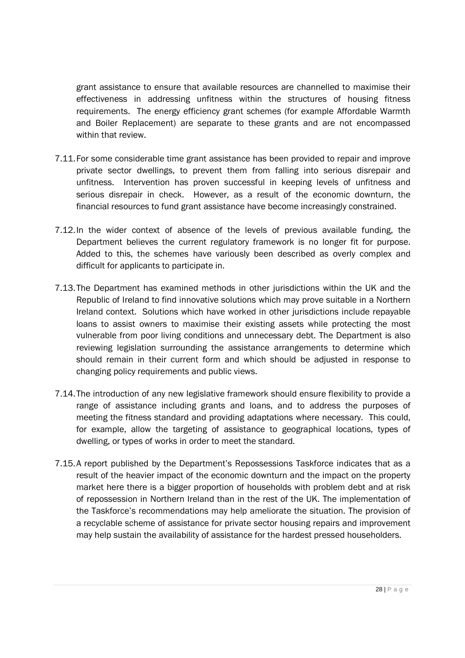grant assistance to ensure that available resources are channelled to maximise their effectiveness in addressing unfitness within the structures of housing fitness requirements. The energy efficiency grant schemes (for example Affordable Warmth and Boiler Replacement) are separate to these grants and are not encompassed within that review

- 7.11.For some considerable time grant assistance has been provided to repair and improve private sector dwellings, to prevent them from falling into serious disrepair and unfitness. Intervention has proven successful in keeping levels of unfitness and serious disrepair in check. However, as a result of the economic downturn, the financial resources to fund grant assistance have become increasingly constrained.
- 7.12.In the wider context of absence of the levels of previous available funding, the Department believes the current regulatory framework is no longer fit for purpose. Added to this, the schemes have variously been described as overly complex and difficult for applicants to participate in.
- 7.13.The Department has examined methods in other jurisdictions within the UK and the Republic of Ireland to find innovative solutions which may prove suitable in a Northern Ireland context. Solutions which have worked in other jurisdictions include repayable loans to assist owners to maximise their existing assets while protecting the most vulnerable from poor living conditions and unnecessary debt. The Department is also reviewing legislation surrounding the assistance arrangements to determine which should remain in their current form and which should be adjusted in response to changing policy requirements and public views.
- 7.14.The introduction of any new legislative framework should ensure flexibility to provide a range of assistance including grants and loans, and to address the purposes of meeting the fitness standard and providing adaptations where necessary. This could, for example, allow the targeting of assistance to geographical locations, types of dwelling, or types of works in order to meet the standard.
- 7.15.A report published by the Department's Repossessions Taskforce indicates that as a result of the heavier impact of the economic downturn and the impact on the property market here there is a bigger proportion of households with problem debt and at risk of repossession in Northern Ireland than in the rest of the UK. The implementation of the Taskforce's recommendations may help ameliorate the situation. The provision of a recyclable scheme of assistance for private sector housing repairs and improvement may help sustain the availability of assistance for the hardest pressed householders.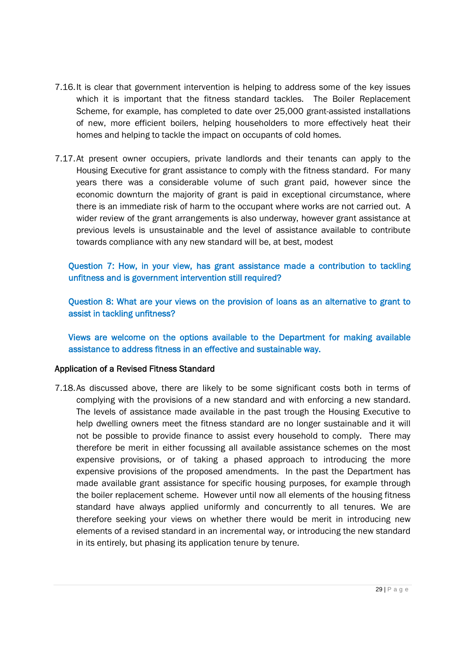- 7.16.It is clear that government intervention is helping to address some of the key issues which it is important that the fitness standard tackles. The Boiler Replacement Scheme, for example, has completed to date over 25,000 grant-assisted installations of new, more efficient boilers, helping householders to more effectively heat their homes and helping to tackle the impact on occupants of cold homes.
- 7.17.At present owner occupiers, private landlords and their tenants can apply to the Housing Executive for grant assistance to comply with the fitness standard. For many years there was a considerable volume of such grant paid, however since the economic downturn the majority of grant is paid in exceptional circumstance, where there is an immediate risk of harm to the occupant where works are not carried out. A wider review of the grant arrangements is also underway, however grant assistance at previous levels is unsustainable and the level of assistance available to contribute towards compliance with any new standard will be, at best, modest

Question 7: How, in your view, has grant assistance made a contribution to tackling unfitness and is government intervention still required?

Question 8: What are your views on the provision of loans as an alternative to grant to assist in tackling unfitness?

Views are welcome on the options available to the Department for making available assistance to address fitness in an effective and sustainable way.

#### Application of a Revised Fitness Standard

7.18.As discussed above, there are likely to be some significant costs both in terms of complying with the provisions of a new standard and with enforcing a new standard. The levels of assistance made available in the past trough the Housing Executive to help dwelling owners meet the fitness standard are no longer sustainable and it will not be possible to provide finance to assist every household to comply. There may therefore be merit in either focussing all available assistance schemes on the most expensive provisions, or of taking a phased approach to introducing the more expensive provisions of the proposed amendments. In the past the Department has made available grant assistance for specific housing purposes, for example through the boiler replacement scheme. However until now all elements of the housing fitness standard have always applied uniformly and concurrently to all tenures. We are therefore seeking your views on whether there would be merit in introducing new elements of a revised standard in an incremental way, or introducing the new standard in its entirely, but phasing its application tenure by tenure.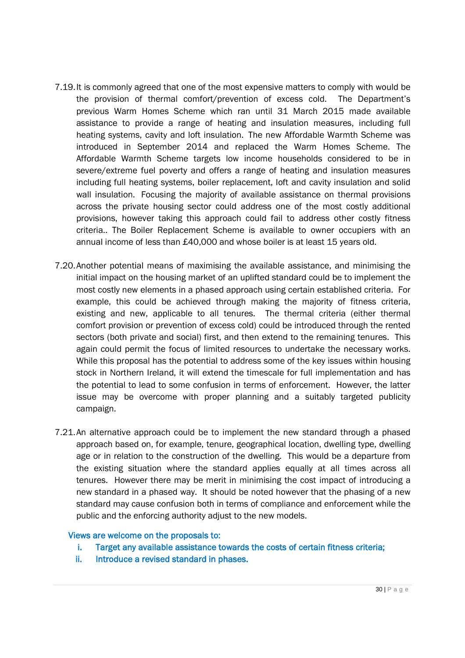- 7.19.It is commonly agreed that one of the most expensive matters to comply with would be the provision of thermal comfort/prevention of excess cold. The Department's previous Warm Homes Scheme which ran until 31 March 2015 made available assistance to provide a range of heating and insulation measures, including full heating systems, cavity and loft insulation. The new Affordable Warmth Scheme was introduced in September 2014 and replaced the Warm Homes Scheme. The Affordable Warmth Scheme targets low income households considered to be in severe/extreme fuel poverty and offers a range of heating and insulation measures including full heating systems, boiler replacement, loft and cavity insulation and solid wall insulation. Focusing the majority of available assistance on thermal provisions across the private housing sector could address one of the most costly additional provisions, however taking this approach could fail to address other costly fitness criteria.. The Boiler Replacement Scheme is available to owner occupiers with an annual income of less than £40,000 and whose boiler is at least 15 years old.
- 7.20.Another potential means of maximising the available assistance, and minimising the initial impact on the housing market of an uplifted standard could be to implement the most costly new elements in a phased approach using certain established criteria. For example, this could be achieved through making the majority of fitness criteria, existing and new, applicable to all tenures. The thermal criteria (either thermal comfort provision or prevention of excess cold) could be introduced through the rented sectors (both private and social) first, and then extend to the remaining tenures. This again could permit the focus of limited resources to undertake the necessary works. While this proposal has the potential to address some of the key issues within housing stock in Northern Ireland, it will extend the timescale for full implementation and has the potential to lead to some confusion in terms of enforcement. However, the latter issue may be overcome with proper planning and a suitably targeted publicity campaign.
- 7.21.An alternative approach could be to implement the new standard through a phased approach based on, for example, tenure, geographical location, dwelling type, dwelling age or in relation to the construction of the dwelling. This would be a departure from the existing situation where the standard applies equally at all times across all tenures. However there may be merit in minimising the cost impact of introducing a new standard in a phased way. It should be noted however that the phasing of a new standard may cause confusion both in terms of compliance and enforcement while the public and the enforcing authority adjust to the new models.

#### Views are welcome on the proposals to:

- i. Target any available assistance towards the costs of certain fitness criteria;
- ii. Introduce a revised standard in phases.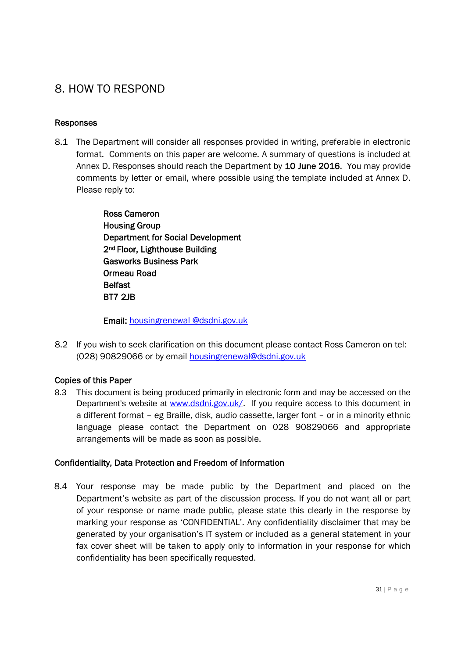## 8. HOW TO RESPOND

### Responses

8.1 The Department will consider all responses provided in writing, preferable in electronic format. Comments on this paper are welcome. A summary of questions is included at Annex D. Responses should reach the Department by 10 June 2016. You may provide comments by letter or email, where possible using the template included at Annex D. Please reply to:

> Ross Cameron Housing Group Department for Social Development 2nd Floor, Lighthouse Building Gasworks Business Park Ormeau Road **Belfast** BT7 2JB

Email: housingrenewal @dsdni.gov.uk

8.2 If you wish to seek clarification on this document please contact Ross Cameron on tel: (028) 90829066 or by email housingrenewal@dsdni.gov.uk

## Copies of this Paper

8.3 This document is being produced primarily in electronic form and may be accessed on the Department's website at www.dsdni.gov.uk/. If you require access to this document in a different format – eg Braille, disk, audio cassette, larger font – or in a minority ethnic language please contact the Department on 028 90829066 and appropriate arrangements will be made as soon as possible.

## Confidentiality, Data Protection and Freedom of Information

8.4 Your response may be made public by the Department and placed on the Department's website as part of the discussion process. If you do not want all or part of your response or name made public, please state this clearly in the response by marking your response as 'CONFIDENTIAL'. Any confidentiality disclaimer that may be generated by your organisation's IT system or included as a general statement in your fax cover sheet will be taken to apply only to information in your response for which confidentiality has been specifically requested.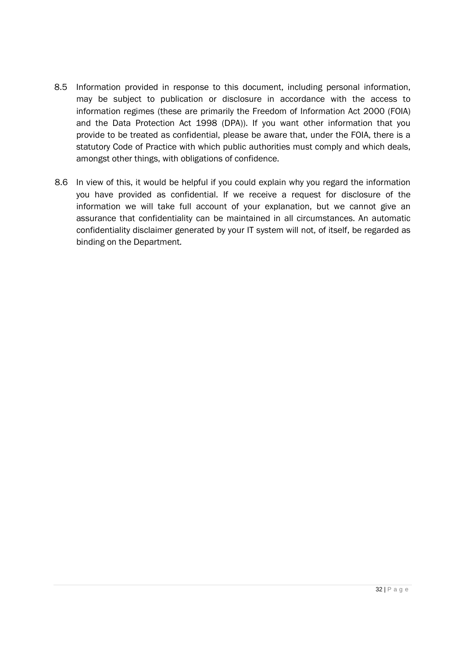- 8.5 Information provided in response to this document, including personal information, may be subject to publication or disclosure in accordance with the access to information regimes (these are primarily the Freedom of Information Act 2000 (FOIA) and the Data Protection Act 1998 (DPA)). If you want other information that you provide to be treated as confidential, please be aware that, under the FOIA, there is a statutory Code of Practice with which public authorities must comply and which deals, amongst other things, with obligations of confidence.
- 8.6 In view of this, it would be helpful if you could explain why you regard the information you have provided as confidential. If we receive a request for disclosure of the information we will take full account of your explanation, but we cannot give an assurance that confidentiality can be maintained in all circumstances. An automatic confidentiality disclaimer generated by your IT system will not, of itself, be regarded as binding on the Department*.*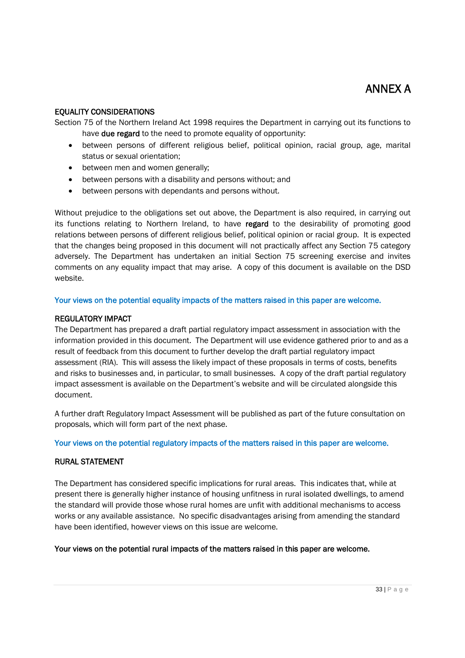## ANNEX A

#### EQUALITY CONSIDERATIONS

Section 75 of the Northern Ireland Act 1998 requires the Department in carrying out its functions to have **due regard** to the need to promote equality of opportunity:

- between persons of different religious belief, political opinion, racial group, age, marital status or sexual orientation;
- between men and women generally;
- between persons with a disability and persons without; and
- between persons with dependants and persons without.

Without prejudice to the obligations set out above, the Department is also required, in carrying out its functions relating to Northern Ireland, to have regard to the desirability of promoting good relations between persons of different religious belief, political opinion or racial group. It is expected that the changes being proposed in this document will not practically affect any Section 75 category adversely. The Department has undertaken an initial Section 75 screening exercise and invites comments on any equality impact that may arise. A copy of this document is available on the DSD website.

#### Your views on the potential equality impacts of the matters raised in this paper are welcome.

#### REGULATORY IMPACT

The Department has prepared a draft partial regulatory impact assessment in association with the information provided in this document. The Department will use evidence gathered prior to and as a result of feedback from this document to further develop the draft partial regulatory impact assessment (RIA). This will assess the likely impact of these proposals in terms of costs, benefits and risks to businesses and, in particular, to small businesses. A copy of the draft partial regulatory impact assessment is available on the Department's website and will be circulated alongside this document.

A further draft Regulatory Impact Assessment will be published as part of the future consultation on proposals, which will form part of the next phase.

#### Your views on the potential regulatory impacts of the matters raised in this paper are welcome.

#### RURAL STATEMENT

The Department has considered specific implications for rural areas. This indicates that, while at present there is generally higher instance of housing unfitness in rural isolated dwellings, to amend the standard will provide those whose rural homes are unfit with additional mechanisms to access works or any available assistance. No specific disadvantages arising from amending the standard have been identified, however views on this issue are welcome.

#### Your views on the potential rural impacts of the matters raised in this paper are welcome.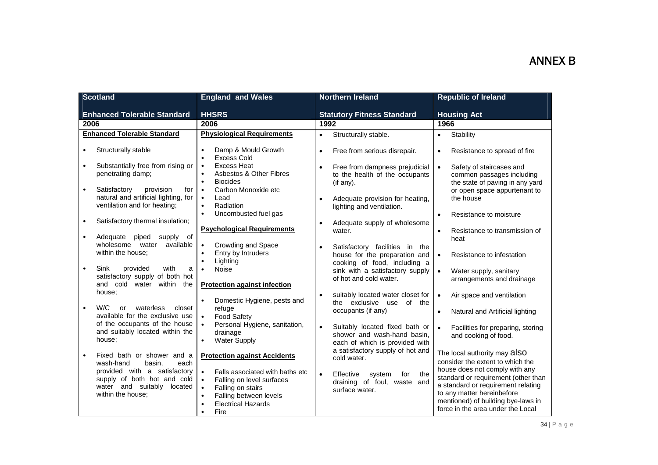| <b>Scotland</b>                                                                                                                                                                                                                                                                                        | <b>England and Wales</b>                                                                                                                                                                                                                                                                                                                               | <b>Northern Ireland</b>                                                                                                                                                                                                                                        | <b>Republic of Ireland</b>                                                                                                                                                                                                                                                                   |
|--------------------------------------------------------------------------------------------------------------------------------------------------------------------------------------------------------------------------------------------------------------------------------------------------------|--------------------------------------------------------------------------------------------------------------------------------------------------------------------------------------------------------------------------------------------------------------------------------------------------------------------------------------------------------|----------------------------------------------------------------------------------------------------------------------------------------------------------------------------------------------------------------------------------------------------------------|----------------------------------------------------------------------------------------------------------------------------------------------------------------------------------------------------------------------------------------------------------------------------------------------|
| <b>Enhanced Tolerable Standard</b>                                                                                                                                                                                                                                                                     | <b>HHSRS</b>                                                                                                                                                                                                                                                                                                                                           | <b>Statutory Fitness Standard</b>                                                                                                                                                                                                                              | <b>Housing Act</b>                                                                                                                                                                                                                                                                           |
| 2006                                                                                                                                                                                                                                                                                                   | 2006                                                                                                                                                                                                                                                                                                                                                   | 1992                                                                                                                                                                                                                                                           | 1966                                                                                                                                                                                                                                                                                         |
| <b>Enhanced Tolerable Standard</b>                                                                                                                                                                                                                                                                     | <b>Physiological Requirements</b>                                                                                                                                                                                                                                                                                                                      | Structurally stable.<br>$\bullet$                                                                                                                                                                                                                              | Stability<br>$\bullet$                                                                                                                                                                                                                                                                       |
| Structurally stable<br>$\bullet$<br>Substantially free from rising or<br>penetrating damp;<br>provision<br>Satisfactory<br>$\bullet$<br>for<br>natural and artificial lighting, for<br>ventilation and for heating;<br>Satisfactory thermal insulation;<br>Adequate<br>piped<br>supply of<br>$\bullet$ | Damp & Mould Growth<br>$\bullet$<br><b>Excess Cold</b><br>$\bullet$<br><b>Excess Heat</b><br>$\bullet$<br><b>Asbestos &amp; Other Fibres</b><br>$\bullet$<br><b>Biocides</b><br>$\bullet$<br>Carbon Monoxide etc<br>$\bullet$<br>$\bullet$<br>Lead<br>Radiation<br>$\bullet$<br>Uncombusted fuel gas<br>$\bullet$<br><b>Psychological Requirements</b> | Free from serious disrepair.<br>$\bullet$<br>Free from dampness prejudicial<br>$\bullet$<br>to the health of the occupants<br>(if any).<br>Adequate provision for heating,<br>lighting and ventilation.<br>Adequate supply of wholesome<br>$\bullet$<br>water. | Resistance to spread of fire<br>$\bullet$<br>$\bullet$<br>Safety of staircases and<br>common passages including<br>the state of paving in any yard<br>or open space appurtenant to<br>the house<br>Resistance to moisture<br>$\bullet$<br>$\bullet$<br>Resistance to transmission of<br>heat |
| wholesome water<br>available<br>within the house;<br>Sink<br>provided<br>with<br>$\bullet$<br>a<br>satisfactory supply of both hot<br>and cold water within<br>the                                                                                                                                     | Crowding and Space<br>$\bullet$<br>Entry by Intruders<br>$\bullet$<br>Lighting<br>$\bullet$<br>Noise<br>$\bullet$<br><b>Protection against infection</b>                                                                                                                                                                                               | Satisfactory facilities in the<br>$\bullet$<br>house for the preparation and<br>cooking of food, including a<br>sink with a satisfactory supply<br>of hot and cold water.                                                                                      | $\bullet$<br>Resistance to infestation<br>Water supply, sanitary<br>$\bullet$<br>arrangements and drainage                                                                                                                                                                                   |
| house;<br>W/C<br>waterless<br>closet<br>or<br>available for the exclusive use<br>of the occupants of the house<br>and suitably located within the<br>house;                                                                                                                                            | Domestic Hygiene, pests and<br>$\bullet$<br>refuge<br><b>Food Safety</b><br>$\bullet$<br>Personal Hygiene, sanitation,<br>$\bullet$<br>drainage<br><b>Water Supply</b><br>$\bullet$                                                                                                                                                                    | suitably located water closet for<br>the exclusive use of the<br>occupants (if any)<br>Suitably located fixed bath or<br>$\bullet$<br>shower and wash-hand basin,<br>each of which is provided with<br>a satisfactory supply of hot and                        | Air space and ventilation<br>$\bullet$<br>$\bullet$<br>Natural and Artificial lighting<br>Facilities for preparing, storing<br>$\bullet$<br>and cooking of food.                                                                                                                             |
| Fixed bath or shower and a<br>wash-hand<br>basin,<br>each<br>provided with a satisfactory<br>supply of both hot and cold<br>water and suitably<br>located<br>within the house;                                                                                                                         | <b>Protection against Accidents</b><br>$\bullet$<br>Falls associated with baths etc<br>$\bullet$<br>Falling on level surfaces<br>$\bullet$<br>Falling on stairs<br>Falling between levels<br>$\bullet$<br><b>Electrical Hazards</b><br>$\bullet$<br>Fire<br>$\bullet$                                                                                  | cold water.<br>$\bullet$<br>Effective<br>system<br>for<br>the<br>draining of foul, waste<br>and<br>surface water.                                                                                                                                              | The local authority may also<br>consider the extent to which the<br>house does not comply with any<br>standard or requirement (other than<br>a standard or requirement relating<br>to any matter hereinbefore<br>mentioned) of building bye-laws in<br>force in the area under the Local     |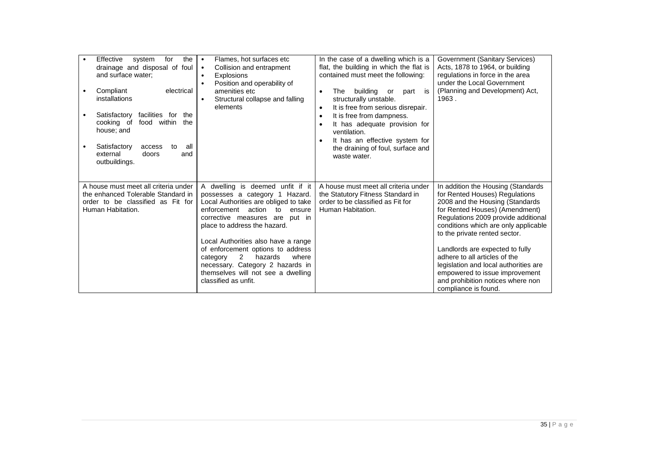| Effective<br>the<br>system<br>for<br>drainage and disposal of foul<br>and surface water;<br>Compliant<br>electrical<br>installations<br>Satisfactory facilities for<br>the<br>$\bullet$<br>food within<br>cooking of<br>the<br>house; and<br>all<br>Satisfactory<br>access<br>to<br>external<br>doors<br>and<br>outbuildings. | Flames, hot surfaces etc<br>$\bullet$<br>Collision and entrapment<br>$\bullet$<br>Explosions<br>$\bullet$<br>Position and operability of<br>$\bullet$<br>amenities etc<br>Structural collapse and falling<br>$\bullet$<br>elements                                                                                                                                                                                                           | In the case of a dwelling which is a<br>flat, the building in which the flat is<br>contained must meet the following:<br>building<br>part<br>is<br>The<br>or<br>$\bullet$<br>structurally unstable.<br>It is free from serious disrepair.<br>$\bullet$<br>It is free from dampness.<br>$\bullet$<br>It has adequate provision for<br>$\bullet$<br>ventilation.<br>It has an effective system for<br>$\bullet$<br>the draining of foul, surface and<br>waste water. | Government (Sanitary Services)<br>Acts, 1878 to 1964, or building<br>regulations in force in the area<br>under the Local Government<br>(Planning and Development) Act,<br>1963.                                                                                                                                                                                                                                                                                       |
|-------------------------------------------------------------------------------------------------------------------------------------------------------------------------------------------------------------------------------------------------------------------------------------------------------------------------------|----------------------------------------------------------------------------------------------------------------------------------------------------------------------------------------------------------------------------------------------------------------------------------------------------------------------------------------------------------------------------------------------------------------------------------------------|--------------------------------------------------------------------------------------------------------------------------------------------------------------------------------------------------------------------------------------------------------------------------------------------------------------------------------------------------------------------------------------------------------------------------------------------------------------------|-----------------------------------------------------------------------------------------------------------------------------------------------------------------------------------------------------------------------------------------------------------------------------------------------------------------------------------------------------------------------------------------------------------------------------------------------------------------------|
| A house must meet all criteria under<br>the enhanced Tolerable Standard in<br>order to be classified as Fit for<br>Human Habitation.                                                                                                                                                                                          | A dwelling is deemed unfit if it<br>possesses a category 1 Hazard.<br>Local Authorities are obliged to take<br>action<br>enforcement<br>ensure<br>to<br>corrective measures are<br>put in<br>place to address the hazard.<br>Local Authorities also have a range<br>of enforcement options to address<br>2<br>hazards<br>where<br>category<br>necessary. Category 2 hazards in<br>themselves will not see a dwelling<br>classified as unfit. | A house must meet all criteria under<br>the Statutory Fitness Standard in<br>order to be classified as Fit for<br>Human Habitation.                                                                                                                                                                                                                                                                                                                                | In addition the Housing (Standards<br>for Rented Houses) Regulations<br>2008 and the Housing (Standards<br>for Rented Houses) (Amendment)<br>Regulations 2009 provide additional<br>conditions which are only applicable<br>to the private rented sector.<br>Landlords are expected to fully<br>adhere to all articles of the<br>legislation and local authorities are<br>empowered to issue improvement<br>and prohibition notices where non<br>compliance is found. |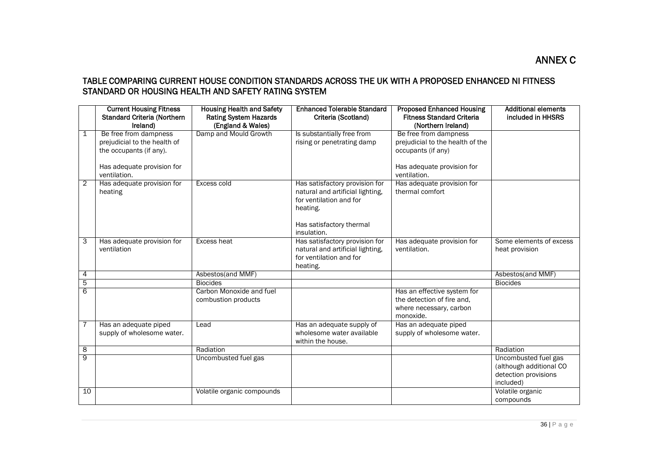### TABLE COMPARING CURRENT HOUSE CONDITION STANDARDS ACROSS THE UK WITH A PROPOSED ENHANCED NI FITNESS STANDARD OR HOUSING HEALTH AND SAFETY RATING SYSTEM

|                | <b>Current Housing Fitness</b><br><b>Standard Criteria (Northern</b><br>Ireland)                                               | <b>Housing Health and Safety</b><br><b>Rating System Hazards</b><br>(England & Wales) | <b>Enhanced Tolerable Standard</b><br>Criteria (Scotland)                                                                                            | <b>Proposed Enhanced Housing</b><br><b>Fitness Standard Criteria</b><br>(Northern Ireland)                                    | <b>Additional elements</b><br>included in HHSRS                                      |
|----------------|--------------------------------------------------------------------------------------------------------------------------------|---------------------------------------------------------------------------------------|------------------------------------------------------------------------------------------------------------------------------------------------------|-------------------------------------------------------------------------------------------------------------------------------|--------------------------------------------------------------------------------------|
| 1              | Be free from dampness<br>prejudicial to the health of<br>the occupants (if any).<br>Has adequate provision for<br>ventilation. | Damp and Mould Growth                                                                 | Is substantially free from<br>rising or penetrating damp                                                                                             | Be free from dampness<br>prejudicial to the health of the<br>occupants (if any)<br>Has adequate provision for<br>ventilation. |                                                                                      |
| 2              | Has adequate provision for<br>heating                                                                                          | Excess cold                                                                           | Has satisfactory provision for<br>natural and artificial lighting,<br>for ventilation and for<br>heating.<br>Has satisfactory thermal<br>insulation. | Has adequate provision for<br>thermal comfort                                                                                 |                                                                                      |
| 3              | Has adequate provision for<br>ventilation                                                                                      | Excess heat                                                                           | Has satisfactory provision for<br>natural and artificial lighting,<br>for ventilation and for<br>heating.                                            | Has adequate provision for<br>ventilation.                                                                                    | Some elements of excess<br>heat provision                                            |
| 4              |                                                                                                                                | Asbestos(and MMF)                                                                     |                                                                                                                                                      |                                                                                                                               | Asbestos(and MMF)                                                                    |
| 5              |                                                                                                                                | <b>Biocides</b>                                                                       |                                                                                                                                                      |                                                                                                                               | <b>Biocides</b>                                                                      |
| 6              |                                                                                                                                | Carbon Monoxide and fuel<br>combustion products                                       |                                                                                                                                                      | Has an effective system for<br>the detection of fire and,<br>where necessary, carbon<br>monoxide.                             |                                                                                      |
|                | Has an adequate piped<br>supply of wholesome water.                                                                            | Lead                                                                                  | Has an adequate supply of<br>wholesome water available<br>within the house.                                                                          | Has an adequate piped<br>supply of wholesome water.                                                                           |                                                                                      |
| 8              |                                                                                                                                | Radiation                                                                             |                                                                                                                                                      |                                                                                                                               | Radiation                                                                            |
| $\overline{9}$ |                                                                                                                                | Uncombusted fuel gas                                                                  |                                                                                                                                                      |                                                                                                                               | Uncombusted fuel gas<br>(although additional CO<br>detection provisions<br>included) |
| 10             |                                                                                                                                | Volatile organic compounds                                                            |                                                                                                                                                      |                                                                                                                               | Volatile organic<br>compounds                                                        |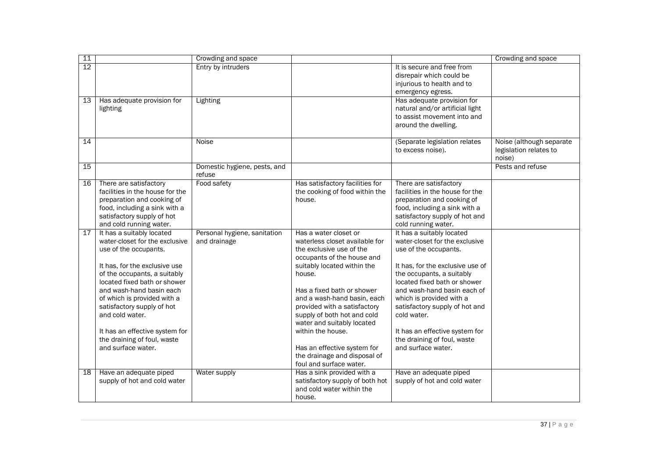| 11 |                                 | Crowding and space           |                                 |                                  | Crowding and space       |
|----|---------------------------------|------------------------------|---------------------------------|----------------------------------|--------------------------|
| 12 |                                 | Entry by intruders           |                                 | It is secure and free from       |                          |
|    |                                 |                              |                                 | disrepair which could be         |                          |
|    |                                 |                              |                                 | injurious to health and to       |                          |
|    |                                 |                              |                                 | emergency egress.                |                          |
| 13 | Has adequate provision for      | Lighting                     |                                 | Has adequate provision for       |                          |
|    | lighting                        |                              |                                 | natural and/or artificial light  |                          |
|    |                                 |                              |                                 | to assist movement into and      |                          |
|    |                                 |                              |                                 | around the dwelling.             |                          |
|    |                                 |                              |                                 |                                  |                          |
| 14 |                                 | Noise                        |                                 | (Separate legislation relates    | Noise (although separate |
|    |                                 |                              |                                 | to excess noise).                | legislation relates to   |
|    |                                 |                              |                                 |                                  | noise)                   |
| 15 |                                 | Domestic hygiene, pests, and |                                 |                                  | Pests and refuse         |
|    |                                 | refuse                       |                                 |                                  |                          |
| 16 | There are satisfactory          | Food safety                  | Has satisfactory facilities for | There are satisfactory           |                          |
|    | facilities in the house for the |                              | the cooking of food within the  | facilities in the house for the  |                          |
|    | preparation and cooking of      |                              | house.                          | preparation and cooking of       |                          |
|    | food, including a sink with a   |                              |                                 | food, including a sink with a    |                          |
|    | satisfactory supply of hot      |                              |                                 | satisfactory supply of hot and   |                          |
|    |                                 |                              |                                 |                                  |                          |
|    | and cold running water.         |                              |                                 | cold running water.              |                          |
| 17 | It has a suitably located       | Personal hygiene, sanitation | Has a water closet or           | It has a suitably located        |                          |
|    | water-closet for the exclusive  | and drainage                 | waterless closet available for  | water-closet for the exclusive   |                          |
|    | use of the occupants.           |                              | the exclusive use of the        | use of the occupants.            |                          |
|    |                                 |                              | occupants of the house and      |                                  |                          |
|    | It has, for the exclusive use   |                              | suitably located within the     | It has, for the exclusive use of |                          |
|    | of the occupants, a suitably    |                              | house.                          | the occupants, a suitably        |                          |
|    | located fixed bath or shower    |                              |                                 | located fixed bath or shower     |                          |
|    | and wash-hand basin each        |                              | Has a fixed bath or shower      | and wash-hand basin each of      |                          |
|    | of which is provided with a     |                              | and a wash-hand basin, each     | which is provided with a         |                          |
|    | satisfactory supply of hot      |                              | provided with a satisfactory    | satisfactory supply of hot and   |                          |
|    | and cold water.                 |                              | supply of both hot and cold     | cold water.                      |                          |
|    |                                 |                              | water and suitably located      |                                  |                          |
|    | It has an effective system for  |                              | within the house.               | It has an effective system for   |                          |
|    | the draining of foul, waste     |                              |                                 | the draining of foul, waste      |                          |
|    | and surface water.              |                              | Has an effective system for     | and surface water.               |                          |
|    |                                 |                              | the drainage and disposal of    |                                  |                          |
|    |                                 |                              | foul and surface water.         |                                  |                          |
| 18 | Have an adequate piped          | Water supply                 | Has a sink provided with a      | Have an adequate piped           |                          |
|    | supply of hot and cold water    |                              | satisfactory supply of both hot | supply of hot and cold water     |                          |
|    |                                 |                              | and cold water within the       |                                  |                          |
|    |                                 |                              | house.                          |                                  |                          |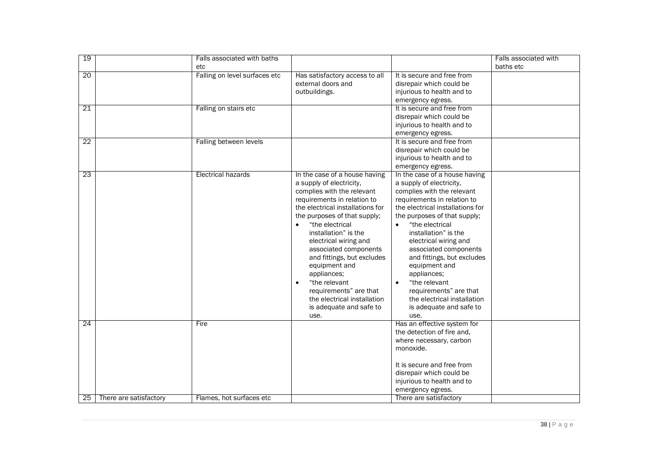| 19              |                        | Falls associated with baths   |                                                                                                                                                                                                                                                                                                                                                                                                                                                                                 |                                                                                                                                                                                                                                                                                                                                                                                                                                                                                              | Falls associated with |
|-----------------|------------------------|-------------------------------|---------------------------------------------------------------------------------------------------------------------------------------------------------------------------------------------------------------------------------------------------------------------------------------------------------------------------------------------------------------------------------------------------------------------------------------------------------------------------------|----------------------------------------------------------------------------------------------------------------------------------------------------------------------------------------------------------------------------------------------------------------------------------------------------------------------------------------------------------------------------------------------------------------------------------------------------------------------------------------------|-----------------------|
|                 |                        | etc                           |                                                                                                                                                                                                                                                                                                                                                                                                                                                                                 |                                                                                                                                                                                                                                                                                                                                                                                                                                                                                              | baths etc             |
| 20              |                        | Falling on level surfaces etc | Has satisfactory access to all<br>external doors and<br>outbuildings.                                                                                                                                                                                                                                                                                                                                                                                                           | It is secure and free from<br>disrepair which could be<br>injurious to health and to<br>emergency egress.                                                                                                                                                                                                                                                                                                                                                                                    |                       |
| $\overline{21}$ |                        | Falling on stairs etc         |                                                                                                                                                                                                                                                                                                                                                                                                                                                                                 | It is secure and free from<br>disrepair which could be<br>injurious to health and to<br>emergency egress.                                                                                                                                                                                                                                                                                                                                                                                    |                       |
| 22              |                        | Falling between levels        |                                                                                                                                                                                                                                                                                                                                                                                                                                                                                 | It is secure and free from<br>disrepair which could be<br>injurious to health and to<br>emergency egress.                                                                                                                                                                                                                                                                                                                                                                                    |                       |
| $\overline{23}$ |                        | Electrical hazards            | In the case of a house having<br>a supply of electricity,<br>complies with the relevant<br>requirements in relation to<br>the electrical installations for<br>the purposes of that supply;<br>"the electrical<br>installation" is the<br>electrical wiring and<br>associated components<br>and fittings, but excludes<br>equipment and<br>appliances;<br>"the relevant<br>$\bullet$<br>requirements" are that<br>the electrical installation<br>is adequate and safe to<br>use. | In the case of a house having<br>a supply of electricity,<br>complies with the relevant<br>requirements in relation to<br>the electrical installations for<br>the purposes of that supply;<br>"the electrical<br>$\bullet$<br>installation" is the<br>electrical wiring and<br>associated components<br>and fittings, but excludes<br>equipment and<br>appliances;<br>"the relevant<br>$\bullet$<br>requirements" are that<br>the electrical installation<br>is adequate and safe to<br>use. |                       |
| $\overline{24}$ |                        | Fire                          |                                                                                                                                                                                                                                                                                                                                                                                                                                                                                 | Has an effective system for<br>the detection of fire and,<br>where necessary, carbon<br>monoxide.<br>It is secure and free from<br>disrepair which could be<br>injurious to health and to<br>emergency egress.                                                                                                                                                                                                                                                                               |                       |
| 25              | There are satisfactory | Flames, hot surfaces etc      |                                                                                                                                                                                                                                                                                                                                                                                                                                                                                 | There are satisfactory                                                                                                                                                                                                                                                                                                                                                                                                                                                                       |                       |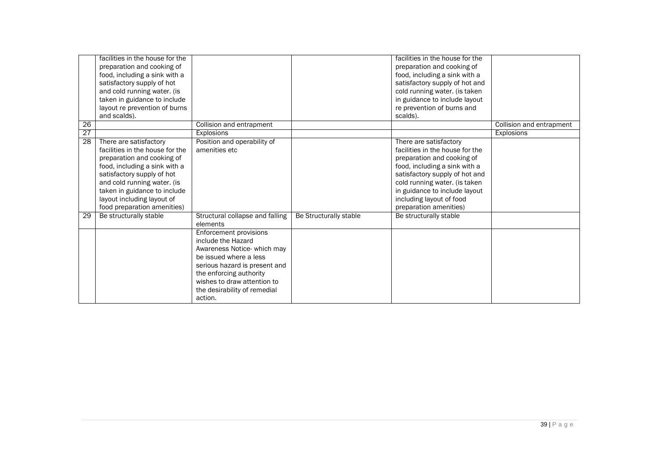|                 | facilities in the house for the<br>preparation and cooking of<br>food, including a sink with a<br>satisfactory supply of hot<br>and cold running water. (is<br>taken in guidance to include                                                                                        |                                                                                                                                                                                                                                                    |                        | facilities in the house for the<br>preparation and cooking of<br>food, including a sink with a<br>satisfactory supply of hot and<br>cold running water. (is taken<br>in guidance to include layout                                                                                 |                          |
|-----------------|------------------------------------------------------------------------------------------------------------------------------------------------------------------------------------------------------------------------------------------------------------------------------------|----------------------------------------------------------------------------------------------------------------------------------------------------------------------------------------------------------------------------------------------------|------------------------|------------------------------------------------------------------------------------------------------------------------------------------------------------------------------------------------------------------------------------------------------------------------------------|--------------------------|
|                 | layout re prevention of burns<br>and scalds).                                                                                                                                                                                                                                      |                                                                                                                                                                                                                                                    |                        | re prevention of burns and<br>scalds).                                                                                                                                                                                                                                             |                          |
| 26              |                                                                                                                                                                                                                                                                                    | Collision and entrapment                                                                                                                                                                                                                           |                        |                                                                                                                                                                                                                                                                                    | Collision and entrapment |
| 27              |                                                                                                                                                                                                                                                                                    | <b>Explosions</b>                                                                                                                                                                                                                                  |                        |                                                                                                                                                                                                                                                                                    | Explosions               |
| 28              | There are satisfactory<br>facilities in the house for the<br>preparation and cooking of<br>food, including a sink with a<br>satisfactory supply of hot<br>and cold running water. (is<br>taken in guidance to include<br>layout including layout of<br>food preparation amenities) | Position and operability of<br>amenities etc.                                                                                                                                                                                                      |                        | There are satisfactory<br>facilities in the house for the<br>preparation and cooking of<br>food, including a sink with a<br>satisfactory supply of hot and<br>cold running water. (is taken<br>in guidance to include layout<br>including layout of food<br>preparation amenities) |                          |
| $\overline{29}$ | Be structurally stable                                                                                                                                                                                                                                                             | Structural collapse and falling<br>elements                                                                                                                                                                                                        | Be Structurally stable | Be structurally stable                                                                                                                                                                                                                                                             |                          |
|                 |                                                                                                                                                                                                                                                                                    | <b>Enforcement provisions</b><br>include the Hazard<br>Awareness Notice- which may<br>be issued where a less<br>serious hazard is present and<br>the enforcing authority<br>wishes to draw attention to<br>the desirability of remedial<br>action. |                        |                                                                                                                                                                                                                                                                                    |                          |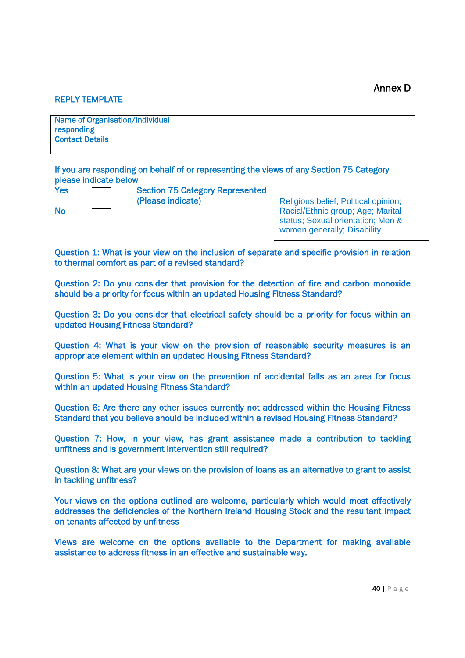#### REPLY TEMPLATE

| Name of Organisation/Individual |  |
|---------------------------------|--|
| responding                      |  |
| <b>Contact Details</b>          |  |
|                                 |  |

If you are responding on behalf of or representing the views of any Section 75 Category please indicate below

| <b>Yes</b> |  |
|------------|--|
|            |  |
| No         |  |

**Section 75 Category Represented** (Please indicate)

Religious belief; Political opinion; Racial/Ethnic group; Age; Marital status; Sexual orientation; Men & women generally: Disability

Question 1: What is your view on the inclusion of separate and specific provision in relation to thermal comfort as part of a revised standard?

Question 2: Do you consider that provision for the detection of fire and carbon monoxide should be a priority for focus within an updated Housing Fitness Standard?

Question 3: Do you consider that electrical safety should be a priority for focus within an updated Housing Fitness Standard?

Question 4: What is your view on the provision of reasonable security measures is an appropriate element within an updated Housing Fitness Standard?

Question 5: What is your view on the prevention of accidental falls as an area for focus within an updated Housing Fitness Standard?

Question 6: Are there any other issues currently not addressed within the Housing Fitness Standard that you believe should be included within a revised Housing Fitness Standard?

Question 7: How, in your view, has grant assistance made a contribution to tackling unfitness and is government intervention still required?

Question 8: What are your views on the provision of loans as an alternative to grant to assist in tackling unfitness?

Your views on the options outlined are welcome, particularly which would most effectively addresses the deficiencies of the Northern Ireland Housing Stock and the resultant impact on tenants affected by unfitness

Views are welcome on the options available to the Department for making available assistance to address fitness in an effective and sustainable way.